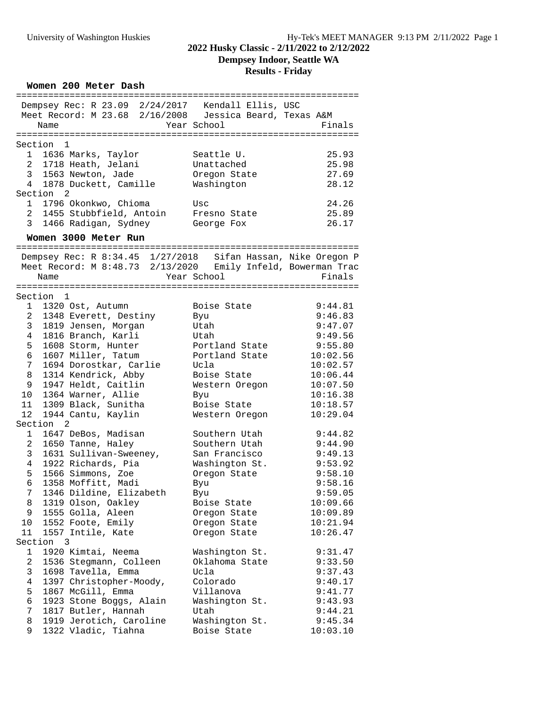# **2022 Husky Classic - 2/11/2022 to 2/12/2022**

**Dempsey Indoor, Seattle WA**

#### **Results - Friday**

| Women 200 Meter Dash                                                                                                         |                    |                       |  |  |
|------------------------------------------------------------------------------------------------------------------------------|--------------------|-----------------------|--|--|
| Dempsey Rec: R 23.09 2/24/2017 Kendall Ellis, USC                                                                            |                    | ===================== |  |  |
| Meet Record: M 23.68 2/16/2008 Jessica Beard, Texas A&M                                                                      |                    |                       |  |  |
| Name                                                                                                                         | Year School        | Finals                |  |  |
|                                                                                                                              |                    |                       |  |  |
| Section<br>$\overline{1}$                                                                                                    |                    |                       |  |  |
| 1636 Marks, Taylor<br>1                                                                                                      | Seattle U.         | 25.93                 |  |  |
| 2 1718 Heath, Jelani                                                                                                         | Unattached         | 25.98                 |  |  |
| 3<br>1563 Newton, Jade                                                                                                       | Oregon State       | 27.69                 |  |  |
| 4<br>1878 Duckett, Camille                                                                                                   | Washington         | 28.12                 |  |  |
| Section<br>2                                                                                                                 |                    |                       |  |  |
| 1796 Okonkwo, Chioma<br>$\mathbf{1}$                                                                                         | Usc                | 24.26                 |  |  |
| $\overline{a}$<br>1455 Stubbfield, Antoin                                                                                    | Fresno State       | 25.89                 |  |  |
| 3<br>1466 Radigan, Sydney                                                                                                    | George Fox         | 26.17                 |  |  |
| Women 3000 Meter Run                                                                                                         |                    |                       |  |  |
|                                                                                                                              |                    |                       |  |  |
| Dempsey Rec: R 8:34.45 1/27/2018 Sifan Hassan, Nike Oregon P<br>Meet Record: M 8:48.73 2/13/2020 Emily Infeld, Bowerman Trac |                    |                       |  |  |
|                                                                                                                              | Year School        | Finals                |  |  |
| Name                                                                                                                         |                    |                       |  |  |
| Section 1                                                                                                                    |                    |                       |  |  |
| $1 -$<br>1320 Ost, Autumn                                                                                                    | Boise State        | 9:44.81               |  |  |
| 1348 Everett, Destiny<br>2                                                                                                   | Byu                | 9:46.83               |  |  |
| 3<br>1819 Jensen, Morgan                                                                                                     | Utah               | 9:47.07               |  |  |
| 1816 Branch, Karli<br>4                                                                                                      | Utah               | 9:49.56               |  |  |
| 5<br>1608 Storm, Hunter                                                                                                      | Portland State     | 9:55.80               |  |  |
| 6<br>1607 Miller, Tatum                                                                                                      | Portland State     | 10:02.56              |  |  |
| 7<br>1694 Dorostkar, Carlie                                                                                                  | Ucla               | 10:02.57              |  |  |
| 1314 Kendrick, Abby<br>8                                                                                                     | Boise State        | 10:06.44              |  |  |
| 1947 Heldt, Caitlin<br>9                                                                                                     | Western Oregon     | 10:07.50              |  |  |
| 10<br>1364 Warner, Allie                                                                                                     | Byu                | 10:16.38              |  |  |
| 1309 Black, Sunitha<br>11                                                                                                    | Boise State        | 10:18.57              |  |  |
| 12<br>1944 Cantu, Kaylin                                                                                                     | Western Oregon     | 10:29.04              |  |  |
| Section<br>2                                                                                                                 |                    |                       |  |  |
| 1<br>1647 DeBos, Madisan                                                                                                     | Southern Utah      | 9:44.82               |  |  |
| $\overline{2}$<br>1650 Tanne, Haley                                                                                          | Southern Utah      | 9:44.90               |  |  |
| 3 <sup>7</sup><br>1631 Sullivan-Sweeney,                                                                                     | San Francisco      | 9:49.13               |  |  |
| 4<br>1922 Richards, Pia<br>5                                                                                                 | Washington St.     | 9:53.92<br>9:58.10    |  |  |
| 1566 Simmons, Zoe<br>6 1358 Moffitt, Madi                                                                                    | Oregon State       |                       |  |  |
| 1346 Dildine, Elizabeth<br>7                                                                                                 | Byu                | 9:58.16<br>9:59.05    |  |  |
| 1319 Olson, Oakley<br>8                                                                                                      | Byu<br>Boise State | 10:09.66              |  |  |
| 9<br>1555 Golla, Aleen                                                                                                       | Oregon State       | 10:09.89              |  |  |
| 1552 Foote, Emily<br>10                                                                                                      | Oregon State       | 10:21.94              |  |  |
| 11<br>1557 Intile, Kate                                                                                                      | Oregon State       | 10:26.47              |  |  |
| Section<br>3                                                                                                                 |                    |                       |  |  |
| 1920 Kimtai, Neema<br>$\mathbf 1$                                                                                            | Washington St.     | 9:31.47               |  |  |
| 2<br>1536 Stegmann, Colleen                                                                                                  | Oklahoma State     | 9:33.50               |  |  |
| 3<br>1698 Tavella, Emma                                                                                                      | Ucla               | 9:37.43               |  |  |
| 4<br>1397 Christopher-Moody,                                                                                                 | Colorado           | 9:40.17               |  |  |
| 5<br>1867 McGill, Emma                                                                                                       | Villanova          | 9:41.77               |  |  |
| 6<br>1923 Stone Boggs, Alain                                                                                                 | Washington St.     | 9:43.93               |  |  |
| 1817 Butler, Hannah<br>7                                                                                                     | Utah               | 9:44.21               |  |  |
| 1919 Jerotich, Caroline<br>8                                                                                                 | Washington St.     | 9:45.34               |  |  |
| 9<br>1322 Vladic, Tiahna                                                                                                     | Boise State        | 10:03.10              |  |  |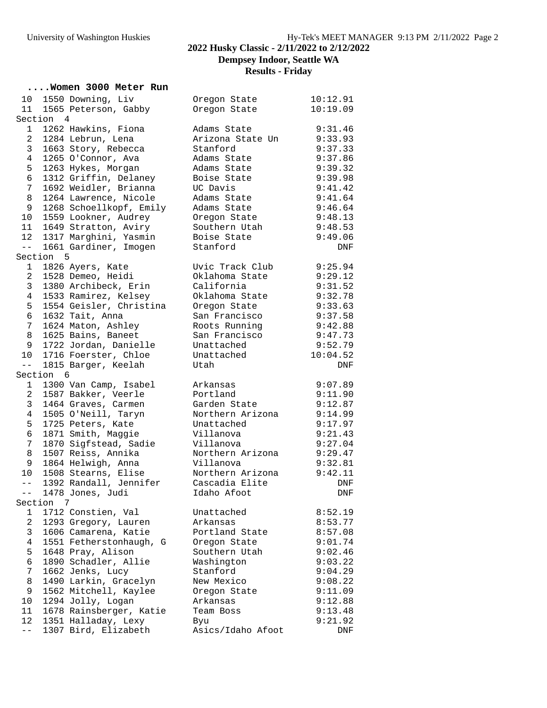### University of Washington Huskies Hy-Tek's MEET MANAGER 9:13 PM 2/11/2022 Page 2 **2022 Husky Classic - 2/11/2022 to 2/12/2022 Dempsey Indoor, Seattle WA Results - Friday**

# **.... Women 3000 Meter Run**<br>10 1550 Downing, Liv

| 10<br>11                |           | 1550 Downing, Liv<br>1565 Peterson, Gabby    | Oregon State<br>Oregon State | 10:12.91<br>10:19.09 |
|-------------------------|-----------|----------------------------------------------|------------------------------|----------------------|
|                         | Section 4 |                                              |                              |                      |
| 1                       |           | 1262 Hawkins, Fiona                          | Adams State                  | 9:31.46              |
| 2                       |           | 1284 Lebrun, Lena                            | Arizona State Un             | 9:33.93              |
| 3                       |           | 1663 Story, Rebecca                          | Stanford                     | 9:37.33              |
| 4                       |           | 1265 O'Connor, Ava                           | Adams State                  | 9:37.86              |
| 5                       |           | 1263 Hykes, Morgan                           | Adams State                  | 9:39.32              |
| 6                       |           | 1312 Griffin, Delaney                        | Boise State                  | 9:39.98              |
| 7                       |           | 1692 Weidler, Brianna                        | UC Davis                     | 9:41.42              |
| 8                       |           | 1264 Lawrence, Nicole                        | Adams State                  | 9:41.64              |
| 9                       |           | 1268 Schoellkopf, Emily                      | Adams State                  | 9:46.64              |
| 10 <sup>°</sup>         |           | 1559 Lookner, Audrey                         | Oregon State                 | 9:48.13              |
| 11                      |           | 1649 Stratton, Aviry                         | Southern Utah                | 9:48.53              |
| 12                      |           | 1317 Marghini, Yasmin                        | Boise State                  | 9:49.06              |
| $- -$                   |           | 1661 Gardiner, Imogen                        | Stanford                     | DNF                  |
|                         | Section 5 |                                              |                              |                      |
| $1 -$                   |           | 1826 Ayers, Kate                             | Uvic Track Club              | 9:25.94              |
| $\overline{a}$          |           | 1528 Demeo, Heidi                            | Oklahoma State               | 9:29.12              |
| 3                       |           | 1380 Archibeck, Erin                         | California                   | 9:31.52              |
| 4                       |           | 1533 Ramirez, Kelsey                         | Oklahoma State               | 9:32.78              |
| 5                       |           | 1554 Geisler, Christina                      | Oregon State                 | 9:33.63              |
| 6                       |           | 1632 Tait, Anna                              | San Francisco                | 9:37.58              |
| 7                       |           |                                              | Roots Running                | 9:42.88              |
| 8                       |           | 1624 Maton, Ashley<br>1625 Bains, Baneet     | San Francisco                |                      |
|                         |           | 1722 Jordan, Danielle                        |                              | 9:47.73              |
| 9                       |           |                                              | Unattached                   | 9:52.79              |
| 10 <sup>°</sup><br>$ -$ |           | 1716 Foerster, Chloe                         | Unattached<br>Utah           | 10:04.52             |
|                         | Section 6 | 1815 Barger, Keelah                          |                              | DNF                  |
| $\mathbf{1}$            |           | 1300 Van Camp, Isabel                        | Arkansas                     | 9:07.89              |
| $\overline{a}$          |           | 1587 Bakker, Veerle                          | Portland                     | 9:11.90              |
| 3                       |           | 1464 Graves, Carmen                          | Garden State                 | 9:12.87              |
| 4                       |           | 1505 O'Neill, Taryn                          | Northern Arizona             | 9:14.99              |
| 5                       |           | 1725 Peters, Kate                            | Unattached                   | 9:17.97              |
| 6                       |           | 1871 Smith, Maggie                           | Villanova                    | 9:21.43              |
| 7                       |           | 1870 Sigfstead, Sadie                        | Villanova                    | 9:27.04              |
| 8                       |           | 1507 Reiss, Annika                           | Northern Arizona             | 9:29.47              |
| 9                       |           | 1864 Helwigh, Anna                           | Villanova                    |                      |
| $10 \,$                 |           | 1508 Stearns, Elise                          | Northern Arizona             | 9:32.81<br>9:42.11   |
| $  \,$                  |           | 1392 Randall, Jennifer                       | Cascadia Elite               | DNF                  |
| --                      |           |                                              | Idaho Afoot                  |                      |
|                         | Section 7 | 1478 Jones, Judi                             |                              | DNF                  |
| 1                       |           | 1712 Constien, Val                           | Unattached                   | 8:52.19              |
| 2                       |           |                                              | Arkansas                     | 8:53.77              |
| 3                       |           | 1293 Gregory, Lauren<br>1606 Camarena, Katie | Portland State               | 8:57.08              |
| 4                       |           | 1551 Fetherstonhaugh, G                      |                              | 9:01.74              |
| 5                       |           |                                              | Oregon State                 |                      |
|                         |           | 1648 Pray, Alison<br>1890 Schadler, Allie    | Southern Utah                | 9:02.46              |
| 6<br>7                  |           |                                              | Washington                   | 9:03.22              |
|                         |           | 1662 Jenks, Lucy                             | Stanford                     | 9:04.29              |
| 8                       |           | 1490 Larkin, Gracelyn                        | New Mexico                   | 9:08.22              |
| 9                       |           | 1562 Mitchell, Kaylee                        | Oregon State                 | 9:11.09              |
| 10                      |           | 1294 Jolly, Logan                            | Arkansas                     | 9:12.88              |
| 11                      |           | 1678 Rainsberger, Katie                      | Team Boss                    | 9:13.48              |
| 12<br>$ -$              |           | 1351 Halladay, Lexy                          | Byu                          | 9:21.92              |
|                         |           | 1307 Bird, Elizabeth                         | Asics/Idaho Afoot            | DNF                  |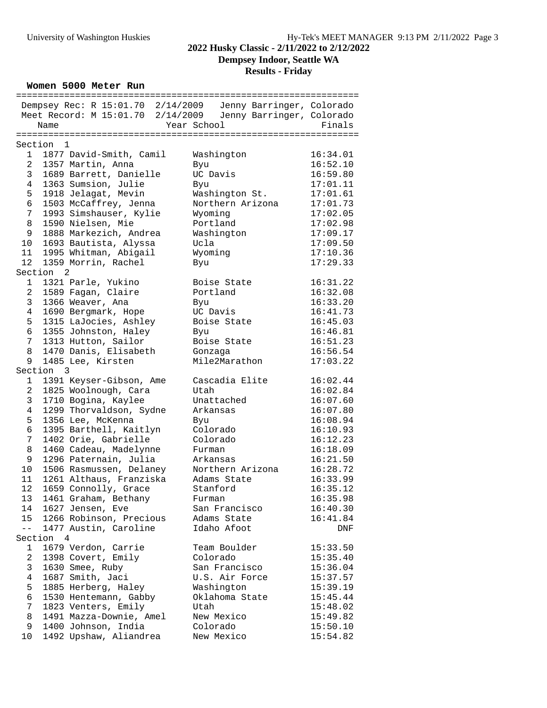# **Dempsey Indoor, Seattle WA**

**Results - Friday**

#### **Women 5000 Meter Run**

| Dempsey Rec: R 15:01.70 2/14/2009 Jenny Barringer, Colorado<br>Meet Record: M 15:01.70 2/14/2009<br>Jenny Barringer, Colorado<br>Year School<br>Finals<br>Name<br>Section 1<br>$\mathbf{1}$<br>1877 David-Smith, Camil<br>Washington<br>16:34.01<br>$\overline{a}$<br>1357 Martin, Anna<br>16:52.10<br>Byu<br>$\mathbf{3}$<br>1689 Barrett, Danielle<br>UC Davis<br>16:59.80<br>1363 Sumsion, Julie<br>4<br>17:01.11<br>Byu<br>5<br>1918 Jelagat, Mevin<br>Washington St.<br>17:01.61<br>6<br>1503 McCaffrey, Jenna<br>Northern Arizona<br>17:01.73<br>1993 Simshauser, Kylie<br>$7\phantom{.}$<br>17:02.05<br>Wyoming<br>8<br>1590 Nielsen, Mie<br>17:02.98<br>Portland<br>9<br>1888 Markezich, Andrea<br>17:09.17<br>Washington<br>17:09.50<br>10 <sup>°</sup><br>1693 Bautista, Alyssa<br>Ucla<br>1995 Whitman, Abigail<br>11<br>Wyoming<br>17:10.36<br>12<br>1359 Morrin, Rachel<br>17:29.33<br>Byu<br>Section <sub>2</sub><br>1321 Parle, Yukino<br>$\mathbf 1$<br>Boise State<br>16:31.22<br>$\overline{a}$<br>1589 Fagan, Claire<br>Portland<br>16:32.08<br>3<br>1366 Weaver, Ana<br>16:33.20<br>Byu<br>1690 Bergmark, Hope<br>UC Davis<br>4<br>16:41.73<br>5<br>1315 LaJocies, Ashley<br>Boise State<br>16:45.03<br>6<br>1355 Johnston, Haley<br>16:46.81<br>Byu<br>1313 Hutton, Sailor<br>7<br>Boise State<br>16:51.23<br>8<br>1470 Danis, Elisabeth<br>16:56.54<br>Gonzaga<br>Mile2Marathon<br>1485 Lee, Kirsten<br>9<br>17:03.22<br>Section 3<br>Cascadia Elite<br>1391 Keyser-Gibson, Ame<br>16:02.44<br>1<br>2<br>1825 Woolnough, Cara<br>16:02.84<br>Utah<br>3<br>1710 Bogina, Kaylee<br>Unattached<br>16:07.60<br>1299 Thorvaldson, Sydne<br>16:07.80<br>4<br>Arkansas<br>5<br>1356 Lee, McKenna<br>16:08.94<br>Byu<br>6<br>1395 Barthell, Kaitlyn<br>Colorado<br>16:10.93<br>7<br>1402 Orie, Gabrielle<br>Colorado<br>16:12.23<br>8<br>1460 Cadeau, Madelynne<br>16:18.09<br>Furman<br>1296 Paternain, Julia<br>9<br>16:21.50<br>Arkansas<br>10<br>1506 Rasmussen, Delaney<br>Northern Arizona<br>16:28.72<br>1261 Althaus, Franziska<br>11<br>Adams State<br>16:33.99<br>12<br>1659 Connolly, Grace<br>Stanford<br>16:35.12<br>1461 Graham, Bethany<br>16:35.98<br>13<br>Furman<br>1627 Jensen, Eve<br>16:40.30<br>14<br>San Francisco<br>1266 Robinson, Precious<br>15<br>Adams State<br>16:41.84<br>1477 Austin, Caroline<br>$--$<br>Idaho Afoot<br>DNF<br>Section<br>$\overline{4}$<br>1679 Verdon, Carrie<br>Team Boulder<br>1<br>15:33.50<br>1398 Covert, Emily<br>2<br>Colorado<br>15:35.40<br>3<br>1630 Smee, Ruby<br>San Francisco<br>15:36.04<br>1687 Smith, Jaci<br>U.S. Air Force<br>4<br>15:37.57<br>5<br>1885 Herberg, Haley<br>Washington<br>15:39.19<br>6<br>1530 Hentemann, Gabby<br>Oklahoma State<br>15:45.44<br>7<br>1823 Venters, Emily<br>Utah<br>15:48.02<br>1491 Mazza-Downie, Amel<br>8<br>15:49.82<br>New Mexico<br>1400 Johnson, India<br>9<br>Colorado<br>15:50.10<br>1492 Upshaw, Aliandrea<br>New Mexico |    |  |  |          |
|--------------------------------------------------------------------------------------------------------------------------------------------------------------------------------------------------------------------------------------------------------------------------------------------------------------------------------------------------------------------------------------------------------------------------------------------------------------------------------------------------------------------------------------------------------------------------------------------------------------------------------------------------------------------------------------------------------------------------------------------------------------------------------------------------------------------------------------------------------------------------------------------------------------------------------------------------------------------------------------------------------------------------------------------------------------------------------------------------------------------------------------------------------------------------------------------------------------------------------------------------------------------------------------------------------------------------------------------------------------------------------------------------------------------------------------------------------------------------------------------------------------------------------------------------------------------------------------------------------------------------------------------------------------------------------------------------------------------------------------------------------------------------------------------------------------------------------------------------------------------------------------------------------------------------------------------------------------------------------------------------------------------------------------------------------------------------------------------------------------------------------------------------------------------------------------------------------------------------------------------------------------------------------------------------------------------------------------------------------------------------------------------------------------------------------------------------------------------------------------------------------------------------------------------------------------------------------------------------------------------------------------------------------------------------------------------------------------------------------------------------------------------------------------------------------------------------------------------------------------------------------------------------------------------------------------------------------|----|--|--|----------|
|                                                                                                                                                                                                                                                                                                                                                                                                                                                                                                                                                                                                                                                                                                                                                                                                                                                                                                                                                                                                                                                                                                                                                                                                                                                                                                                                                                                                                                                                                                                                                                                                                                                                                                                                                                                                                                                                                                                                                                                                                                                                                                                                                                                                                                                                                                                                                                                                                                                                                                                                                                                                                                                                                                                                                                                                                                                                                                                                                        |    |  |  |          |
|                                                                                                                                                                                                                                                                                                                                                                                                                                                                                                                                                                                                                                                                                                                                                                                                                                                                                                                                                                                                                                                                                                                                                                                                                                                                                                                                                                                                                                                                                                                                                                                                                                                                                                                                                                                                                                                                                                                                                                                                                                                                                                                                                                                                                                                                                                                                                                                                                                                                                                                                                                                                                                                                                                                                                                                                                                                                                                                                                        |    |  |  |          |
|                                                                                                                                                                                                                                                                                                                                                                                                                                                                                                                                                                                                                                                                                                                                                                                                                                                                                                                                                                                                                                                                                                                                                                                                                                                                                                                                                                                                                                                                                                                                                                                                                                                                                                                                                                                                                                                                                                                                                                                                                                                                                                                                                                                                                                                                                                                                                                                                                                                                                                                                                                                                                                                                                                                                                                                                                                                                                                                                                        |    |  |  |          |
|                                                                                                                                                                                                                                                                                                                                                                                                                                                                                                                                                                                                                                                                                                                                                                                                                                                                                                                                                                                                                                                                                                                                                                                                                                                                                                                                                                                                                                                                                                                                                                                                                                                                                                                                                                                                                                                                                                                                                                                                                                                                                                                                                                                                                                                                                                                                                                                                                                                                                                                                                                                                                                                                                                                                                                                                                                                                                                                                                        |    |  |  |          |
|                                                                                                                                                                                                                                                                                                                                                                                                                                                                                                                                                                                                                                                                                                                                                                                                                                                                                                                                                                                                                                                                                                                                                                                                                                                                                                                                                                                                                                                                                                                                                                                                                                                                                                                                                                                                                                                                                                                                                                                                                                                                                                                                                                                                                                                                                                                                                                                                                                                                                                                                                                                                                                                                                                                                                                                                                                                                                                                                                        |    |  |  |          |
|                                                                                                                                                                                                                                                                                                                                                                                                                                                                                                                                                                                                                                                                                                                                                                                                                                                                                                                                                                                                                                                                                                                                                                                                                                                                                                                                                                                                                                                                                                                                                                                                                                                                                                                                                                                                                                                                                                                                                                                                                                                                                                                                                                                                                                                                                                                                                                                                                                                                                                                                                                                                                                                                                                                                                                                                                                                                                                                                                        |    |  |  |          |
|                                                                                                                                                                                                                                                                                                                                                                                                                                                                                                                                                                                                                                                                                                                                                                                                                                                                                                                                                                                                                                                                                                                                                                                                                                                                                                                                                                                                                                                                                                                                                                                                                                                                                                                                                                                                                                                                                                                                                                                                                                                                                                                                                                                                                                                                                                                                                                                                                                                                                                                                                                                                                                                                                                                                                                                                                                                                                                                                                        |    |  |  |          |
|                                                                                                                                                                                                                                                                                                                                                                                                                                                                                                                                                                                                                                                                                                                                                                                                                                                                                                                                                                                                                                                                                                                                                                                                                                                                                                                                                                                                                                                                                                                                                                                                                                                                                                                                                                                                                                                                                                                                                                                                                                                                                                                                                                                                                                                                                                                                                                                                                                                                                                                                                                                                                                                                                                                                                                                                                                                                                                                                                        |    |  |  |          |
|                                                                                                                                                                                                                                                                                                                                                                                                                                                                                                                                                                                                                                                                                                                                                                                                                                                                                                                                                                                                                                                                                                                                                                                                                                                                                                                                                                                                                                                                                                                                                                                                                                                                                                                                                                                                                                                                                                                                                                                                                                                                                                                                                                                                                                                                                                                                                                                                                                                                                                                                                                                                                                                                                                                                                                                                                                                                                                                                                        |    |  |  |          |
|                                                                                                                                                                                                                                                                                                                                                                                                                                                                                                                                                                                                                                                                                                                                                                                                                                                                                                                                                                                                                                                                                                                                                                                                                                                                                                                                                                                                                                                                                                                                                                                                                                                                                                                                                                                                                                                                                                                                                                                                                                                                                                                                                                                                                                                                                                                                                                                                                                                                                                                                                                                                                                                                                                                                                                                                                                                                                                                                                        |    |  |  |          |
|                                                                                                                                                                                                                                                                                                                                                                                                                                                                                                                                                                                                                                                                                                                                                                                                                                                                                                                                                                                                                                                                                                                                                                                                                                                                                                                                                                                                                                                                                                                                                                                                                                                                                                                                                                                                                                                                                                                                                                                                                                                                                                                                                                                                                                                                                                                                                                                                                                                                                                                                                                                                                                                                                                                                                                                                                                                                                                                                                        |    |  |  |          |
|                                                                                                                                                                                                                                                                                                                                                                                                                                                                                                                                                                                                                                                                                                                                                                                                                                                                                                                                                                                                                                                                                                                                                                                                                                                                                                                                                                                                                                                                                                                                                                                                                                                                                                                                                                                                                                                                                                                                                                                                                                                                                                                                                                                                                                                                                                                                                                                                                                                                                                                                                                                                                                                                                                                                                                                                                                                                                                                                                        |    |  |  |          |
|                                                                                                                                                                                                                                                                                                                                                                                                                                                                                                                                                                                                                                                                                                                                                                                                                                                                                                                                                                                                                                                                                                                                                                                                                                                                                                                                                                                                                                                                                                                                                                                                                                                                                                                                                                                                                                                                                                                                                                                                                                                                                                                                                                                                                                                                                                                                                                                                                                                                                                                                                                                                                                                                                                                                                                                                                                                                                                                                                        |    |  |  |          |
|                                                                                                                                                                                                                                                                                                                                                                                                                                                                                                                                                                                                                                                                                                                                                                                                                                                                                                                                                                                                                                                                                                                                                                                                                                                                                                                                                                                                                                                                                                                                                                                                                                                                                                                                                                                                                                                                                                                                                                                                                                                                                                                                                                                                                                                                                                                                                                                                                                                                                                                                                                                                                                                                                                                                                                                                                                                                                                                                                        |    |  |  |          |
|                                                                                                                                                                                                                                                                                                                                                                                                                                                                                                                                                                                                                                                                                                                                                                                                                                                                                                                                                                                                                                                                                                                                                                                                                                                                                                                                                                                                                                                                                                                                                                                                                                                                                                                                                                                                                                                                                                                                                                                                                                                                                                                                                                                                                                                                                                                                                                                                                                                                                                                                                                                                                                                                                                                                                                                                                                                                                                                                                        |    |  |  |          |
|                                                                                                                                                                                                                                                                                                                                                                                                                                                                                                                                                                                                                                                                                                                                                                                                                                                                                                                                                                                                                                                                                                                                                                                                                                                                                                                                                                                                                                                                                                                                                                                                                                                                                                                                                                                                                                                                                                                                                                                                                                                                                                                                                                                                                                                                                                                                                                                                                                                                                                                                                                                                                                                                                                                                                                                                                                                                                                                                                        |    |  |  |          |
|                                                                                                                                                                                                                                                                                                                                                                                                                                                                                                                                                                                                                                                                                                                                                                                                                                                                                                                                                                                                                                                                                                                                                                                                                                                                                                                                                                                                                                                                                                                                                                                                                                                                                                                                                                                                                                                                                                                                                                                                                                                                                                                                                                                                                                                                                                                                                                                                                                                                                                                                                                                                                                                                                                                                                                                                                                                                                                                                                        |    |  |  |          |
|                                                                                                                                                                                                                                                                                                                                                                                                                                                                                                                                                                                                                                                                                                                                                                                                                                                                                                                                                                                                                                                                                                                                                                                                                                                                                                                                                                                                                                                                                                                                                                                                                                                                                                                                                                                                                                                                                                                                                                                                                                                                                                                                                                                                                                                                                                                                                                                                                                                                                                                                                                                                                                                                                                                                                                                                                                                                                                                                                        |    |  |  |          |
|                                                                                                                                                                                                                                                                                                                                                                                                                                                                                                                                                                                                                                                                                                                                                                                                                                                                                                                                                                                                                                                                                                                                                                                                                                                                                                                                                                                                                                                                                                                                                                                                                                                                                                                                                                                                                                                                                                                                                                                                                                                                                                                                                                                                                                                                                                                                                                                                                                                                                                                                                                                                                                                                                                                                                                                                                                                                                                                                                        |    |  |  |          |
|                                                                                                                                                                                                                                                                                                                                                                                                                                                                                                                                                                                                                                                                                                                                                                                                                                                                                                                                                                                                                                                                                                                                                                                                                                                                                                                                                                                                                                                                                                                                                                                                                                                                                                                                                                                                                                                                                                                                                                                                                                                                                                                                                                                                                                                                                                                                                                                                                                                                                                                                                                                                                                                                                                                                                                                                                                                                                                                                                        |    |  |  |          |
|                                                                                                                                                                                                                                                                                                                                                                                                                                                                                                                                                                                                                                                                                                                                                                                                                                                                                                                                                                                                                                                                                                                                                                                                                                                                                                                                                                                                                                                                                                                                                                                                                                                                                                                                                                                                                                                                                                                                                                                                                                                                                                                                                                                                                                                                                                                                                                                                                                                                                                                                                                                                                                                                                                                                                                                                                                                                                                                                                        |    |  |  |          |
|                                                                                                                                                                                                                                                                                                                                                                                                                                                                                                                                                                                                                                                                                                                                                                                                                                                                                                                                                                                                                                                                                                                                                                                                                                                                                                                                                                                                                                                                                                                                                                                                                                                                                                                                                                                                                                                                                                                                                                                                                                                                                                                                                                                                                                                                                                                                                                                                                                                                                                                                                                                                                                                                                                                                                                                                                                                                                                                                                        |    |  |  |          |
|                                                                                                                                                                                                                                                                                                                                                                                                                                                                                                                                                                                                                                                                                                                                                                                                                                                                                                                                                                                                                                                                                                                                                                                                                                                                                                                                                                                                                                                                                                                                                                                                                                                                                                                                                                                                                                                                                                                                                                                                                                                                                                                                                                                                                                                                                                                                                                                                                                                                                                                                                                                                                                                                                                                                                                                                                                                                                                                                                        |    |  |  |          |
|                                                                                                                                                                                                                                                                                                                                                                                                                                                                                                                                                                                                                                                                                                                                                                                                                                                                                                                                                                                                                                                                                                                                                                                                                                                                                                                                                                                                                                                                                                                                                                                                                                                                                                                                                                                                                                                                                                                                                                                                                                                                                                                                                                                                                                                                                                                                                                                                                                                                                                                                                                                                                                                                                                                                                                                                                                                                                                                                                        |    |  |  |          |
|                                                                                                                                                                                                                                                                                                                                                                                                                                                                                                                                                                                                                                                                                                                                                                                                                                                                                                                                                                                                                                                                                                                                                                                                                                                                                                                                                                                                                                                                                                                                                                                                                                                                                                                                                                                                                                                                                                                                                                                                                                                                                                                                                                                                                                                                                                                                                                                                                                                                                                                                                                                                                                                                                                                                                                                                                                                                                                                                                        |    |  |  |          |
|                                                                                                                                                                                                                                                                                                                                                                                                                                                                                                                                                                                                                                                                                                                                                                                                                                                                                                                                                                                                                                                                                                                                                                                                                                                                                                                                                                                                                                                                                                                                                                                                                                                                                                                                                                                                                                                                                                                                                                                                                                                                                                                                                                                                                                                                                                                                                                                                                                                                                                                                                                                                                                                                                                                                                                                                                                                                                                                                                        |    |  |  |          |
|                                                                                                                                                                                                                                                                                                                                                                                                                                                                                                                                                                                                                                                                                                                                                                                                                                                                                                                                                                                                                                                                                                                                                                                                                                                                                                                                                                                                                                                                                                                                                                                                                                                                                                                                                                                                                                                                                                                                                                                                                                                                                                                                                                                                                                                                                                                                                                                                                                                                                                                                                                                                                                                                                                                                                                                                                                                                                                                                                        |    |  |  |          |
|                                                                                                                                                                                                                                                                                                                                                                                                                                                                                                                                                                                                                                                                                                                                                                                                                                                                                                                                                                                                                                                                                                                                                                                                                                                                                                                                                                                                                                                                                                                                                                                                                                                                                                                                                                                                                                                                                                                                                                                                                                                                                                                                                                                                                                                                                                                                                                                                                                                                                                                                                                                                                                                                                                                                                                                                                                                                                                                                                        |    |  |  |          |
|                                                                                                                                                                                                                                                                                                                                                                                                                                                                                                                                                                                                                                                                                                                                                                                                                                                                                                                                                                                                                                                                                                                                                                                                                                                                                                                                                                                                                                                                                                                                                                                                                                                                                                                                                                                                                                                                                                                                                                                                                                                                                                                                                                                                                                                                                                                                                                                                                                                                                                                                                                                                                                                                                                                                                                                                                                                                                                                                                        |    |  |  |          |
|                                                                                                                                                                                                                                                                                                                                                                                                                                                                                                                                                                                                                                                                                                                                                                                                                                                                                                                                                                                                                                                                                                                                                                                                                                                                                                                                                                                                                                                                                                                                                                                                                                                                                                                                                                                                                                                                                                                                                                                                                                                                                                                                                                                                                                                                                                                                                                                                                                                                                                                                                                                                                                                                                                                                                                                                                                                                                                                                                        |    |  |  |          |
|                                                                                                                                                                                                                                                                                                                                                                                                                                                                                                                                                                                                                                                                                                                                                                                                                                                                                                                                                                                                                                                                                                                                                                                                                                                                                                                                                                                                                                                                                                                                                                                                                                                                                                                                                                                                                                                                                                                                                                                                                                                                                                                                                                                                                                                                                                                                                                                                                                                                                                                                                                                                                                                                                                                                                                                                                                                                                                                                                        |    |  |  |          |
|                                                                                                                                                                                                                                                                                                                                                                                                                                                                                                                                                                                                                                                                                                                                                                                                                                                                                                                                                                                                                                                                                                                                                                                                                                                                                                                                                                                                                                                                                                                                                                                                                                                                                                                                                                                                                                                                                                                                                                                                                                                                                                                                                                                                                                                                                                                                                                                                                                                                                                                                                                                                                                                                                                                                                                                                                                                                                                                                                        |    |  |  |          |
|                                                                                                                                                                                                                                                                                                                                                                                                                                                                                                                                                                                                                                                                                                                                                                                                                                                                                                                                                                                                                                                                                                                                                                                                                                                                                                                                                                                                                                                                                                                                                                                                                                                                                                                                                                                                                                                                                                                                                                                                                                                                                                                                                                                                                                                                                                                                                                                                                                                                                                                                                                                                                                                                                                                                                                                                                                                                                                                                                        |    |  |  |          |
|                                                                                                                                                                                                                                                                                                                                                                                                                                                                                                                                                                                                                                                                                                                                                                                                                                                                                                                                                                                                                                                                                                                                                                                                                                                                                                                                                                                                                                                                                                                                                                                                                                                                                                                                                                                                                                                                                                                                                                                                                                                                                                                                                                                                                                                                                                                                                                                                                                                                                                                                                                                                                                                                                                                                                                                                                                                                                                                                                        |    |  |  |          |
|                                                                                                                                                                                                                                                                                                                                                                                                                                                                                                                                                                                                                                                                                                                                                                                                                                                                                                                                                                                                                                                                                                                                                                                                                                                                                                                                                                                                                                                                                                                                                                                                                                                                                                                                                                                                                                                                                                                                                                                                                                                                                                                                                                                                                                                                                                                                                                                                                                                                                                                                                                                                                                                                                                                                                                                                                                                                                                                                                        |    |  |  |          |
|                                                                                                                                                                                                                                                                                                                                                                                                                                                                                                                                                                                                                                                                                                                                                                                                                                                                                                                                                                                                                                                                                                                                                                                                                                                                                                                                                                                                                                                                                                                                                                                                                                                                                                                                                                                                                                                                                                                                                                                                                                                                                                                                                                                                                                                                                                                                                                                                                                                                                                                                                                                                                                                                                                                                                                                                                                                                                                                                                        |    |  |  |          |
|                                                                                                                                                                                                                                                                                                                                                                                                                                                                                                                                                                                                                                                                                                                                                                                                                                                                                                                                                                                                                                                                                                                                                                                                                                                                                                                                                                                                                                                                                                                                                                                                                                                                                                                                                                                                                                                                                                                                                                                                                                                                                                                                                                                                                                                                                                                                                                                                                                                                                                                                                                                                                                                                                                                                                                                                                                                                                                                                                        |    |  |  |          |
|                                                                                                                                                                                                                                                                                                                                                                                                                                                                                                                                                                                                                                                                                                                                                                                                                                                                                                                                                                                                                                                                                                                                                                                                                                                                                                                                                                                                                                                                                                                                                                                                                                                                                                                                                                                                                                                                                                                                                                                                                                                                                                                                                                                                                                                                                                                                                                                                                                                                                                                                                                                                                                                                                                                                                                                                                                                                                                                                                        |    |  |  |          |
|                                                                                                                                                                                                                                                                                                                                                                                                                                                                                                                                                                                                                                                                                                                                                                                                                                                                                                                                                                                                                                                                                                                                                                                                                                                                                                                                                                                                                                                                                                                                                                                                                                                                                                                                                                                                                                                                                                                                                                                                                                                                                                                                                                                                                                                                                                                                                                                                                                                                                                                                                                                                                                                                                                                                                                                                                                                                                                                                                        |    |  |  |          |
|                                                                                                                                                                                                                                                                                                                                                                                                                                                                                                                                                                                                                                                                                                                                                                                                                                                                                                                                                                                                                                                                                                                                                                                                                                                                                                                                                                                                                                                                                                                                                                                                                                                                                                                                                                                                                                                                                                                                                                                                                                                                                                                                                                                                                                                                                                                                                                                                                                                                                                                                                                                                                                                                                                                                                                                                                                                                                                                                                        |    |  |  |          |
|                                                                                                                                                                                                                                                                                                                                                                                                                                                                                                                                                                                                                                                                                                                                                                                                                                                                                                                                                                                                                                                                                                                                                                                                                                                                                                                                                                                                                                                                                                                                                                                                                                                                                                                                                                                                                                                                                                                                                                                                                                                                                                                                                                                                                                                                                                                                                                                                                                                                                                                                                                                                                                                                                                                                                                                                                                                                                                                                                        |    |  |  |          |
|                                                                                                                                                                                                                                                                                                                                                                                                                                                                                                                                                                                                                                                                                                                                                                                                                                                                                                                                                                                                                                                                                                                                                                                                                                                                                                                                                                                                                                                                                                                                                                                                                                                                                                                                                                                                                                                                                                                                                                                                                                                                                                                                                                                                                                                                                                                                                                                                                                                                                                                                                                                                                                                                                                                                                                                                                                                                                                                                                        |    |  |  |          |
|                                                                                                                                                                                                                                                                                                                                                                                                                                                                                                                                                                                                                                                                                                                                                                                                                                                                                                                                                                                                                                                                                                                                                                                                                                                                                                                                                                                                                                                                                                                                                                                                                                                                                                                                                                                                                                                                                                                                                                                                                                                                                                                                                                                                                                                                                                                                                                                                                                                                                                                                                                                                                                                                                                                                                                                                                                                                                                                                                        |    |  |  |          |
|                                                                                                                                                                                                                                                                                                                                                                                                                                                                                                                                                                                                                                                                                                                                                                                                                                                                                                                                                                                                                                                                                                                                                                                                                                                                                                                                                                                                                                                                                                                                                                                                                                                                                                                                                                                                                                                                                                                                                                                                                                                                                                                                                                                                                                                                                                                                                                                                                                                                                                                                                                                                                                                                                                                                                                                                                                                                                                                                                        |    |  |  |          |
|                                                                                                                                                                                                                                                                                                                                                                                                                                                                                                                                                                                                                                                                                                                                                                                                                                                                                                                                                                                                                                                                                                                                                                                                                                                                                                                                                                                                                                                                                                                                                                                                                                                                                                                                                                                                                                                                                                                                                                                                                                                                                                                                                                                                                                                                                                                                                                                                                                                                                                                                                                                                                                                                                                                                                                                                                                                                                                                                                        |    |  |  |          |
|                                                                                                                                                                                                                                                                                                                                                                                                                                                                                                                                                                                                                                                                                                                                                                                                                                                                                                                                                                                                                                                                                                                                                                                                                                                                                                                                                                                                                                                                                                                                                                                                                                                                                                                                                                                                                                                                                                                                                                                                                                                                                                                                                                                                                                                                                                                                                                                                                                                                                                                                                                                                                                                                                                                                                                                                                                                                                                                                                        |    |  |  |          |
|                                                                                                                                                                                                                                                                                                                                                                                                                                                                                                                                                                                                                                                                                                                                                                                                                                                                                                                                                                                                                                                                                                                                                                                                                                                                                                                                                                                                                                                                                                                                                                                                                                                                                                                                                                                                                                                                                                                                                                                                                                                                                                                                                                                                                                                                                                                                                                                                                                                                                                                                                                                                                                                                                                                                                                                                                                                                                                                                                        |    |  |  |          |
|                                                                                                                                                                                                                                                                                                                                                                                                                                                                                                                                                                                                                                                                                                                                                                                                                                                                                                                                                                                                                                                                                                                                                                                                                                                                                                                                                                                                                                                                                                                                                                                                                                                                                                                                                                                                                                                                                                                                                                                                                                                                                                                                                                                                                                                                                                                                                                                                                                                                                                                                                                                                                                                                                                                                                                                                                                                                                                                                                        |    |  |  |          |
|                                                                                                                                                                                                                                                                                                                                                                                                                                                                                                                                                                                                                                                                                                                                                                                                                                                                                                                                                                                                                                                                                                                                                                                                                                                                                                                                                                                                                                                                                                                                                                                                                                                                                                                                                                                                                                                                                                                                                                                                                                                                                                                                                                                                                                                                                                                                                                                                                                                                                                                                                                                                                                                                                                                                                                                                                                                                                                                                                        |    |  |  |          |
|                                                                                                                                                                                                                                                                                                                                                                                                                                                                                                                                                                                                                                                                                                                                                                                                                                                                                                                                                                                                                                                                                                                                                                                                                                                                                                                                                                                                                                                                                                                                                                                                                                                                                                                                                                                                                                                                                                                                                                                                                                                                                                                                                                                                                                                                                                                                                                                                                                                                                                                                                                                                                                                                                                                                                                                                                                                                                                                                                        |    |  |  |          |
|                                                                                                                                                                                                                                                                                                                                                                                                                                                                                                                                                                                                                                                                                                                                                                                                                                                                                                                                                                                                                                                                                                                                                                                                                                                                                                                                                                                                                                                                                                                                                                                                                                                                                                                                                                                                                                                                                                                                                                                                                                                                                                                                                                                                                                                                                                                                                                                                                                                                                                                                                                                                                                                                                                                                                                                                                                                                                                                                                        |    |  |  |          |
|                                                                                                                                                                                                                                                                                                                                                                                                                                                                                                                                                                                                                                                                                                                                                                                                                                                                                                                                                                                                                                                                                                                                                                                                                                                                                                                                                                                                                                                                                                                                                                                                                                                                                                                                                                                                                                                                                                                                                                                                                                                                                                                                                                                                                                                                                                                                                                                                                                                                                                                                                                                                                                                                                                                                                                                                                                                                                                                                                        |    |  |  |          |
|                                                                                                                                                                                                                                                                                                                                                                                                                                                                                                                                                                                                                                                                                                                                                                                                                                                                                                                                                                                                                                                                                                                                                                                                                                                                                                                                                                                                                                                                                                                                                                                                                                                                                                                                                                                                                                                                                                                                                                                                                                                                                                                                                                                                                                                                                                                                                                                                                                                                                                                                                                                                                                                                                                                                                                                                                                                                                                                                                        |    |  |  |          |
|                                                                                                                                                                                                                                                                                                                                                                                                                                                                                                                                                                                                                                                                                                                                                                                                                                                                                                                                                                                                                                                                                                                                                                                                                                                                                                                                                                                                                                                                                                                                                                                                                                                                                                                                                                                                                                                                                                                                                                                                                                                                                                                                                                                                                                                                                                                                                                                                                                                                                                                                                                                                                                                                                                                                                                                                                                                                                                                                                        |    |  |  |          |
|                                                                                                                                                                                                                                                                                                                                                                                                                                                                                                                                                                                                                                                                                                                                                                                                                                                                                                                                                                                                                                                                                                                                                                                                                                                                                                                                                                                                                                                                                                                                                                                                                                                                                                                                                                                                                                                                                                                                                                                                                                                                                                                                                                                                                                                                                                                                                                                                                                                                                                                                                                                                                                                                                                                                                                                                                                                                                                                                                        |    |  |  |          |
|                                                                                                                                                                                                                                                                                                                                                                                                                                                                                                                                                                                                                                                                                                                                                                                                                                                                                                                                                                                                                                                                                                                                                                                                                                                                                                                                                                                                                                                                                                                                                                                                                                                                                                                                                                                                                                                                                                                                                                                                                                                                                                                                                                                                                                                                                                                                                                                                                                                                                                                                                                                                                                                                                                                                                                                                                                                                                                                                                        |    |  |  |          |
|                                                                                                                                                                                                                                                                                                                                                                                                                                                                                                                                                                                                                                                                                                                                                                                                                                                                                                                                                                                                                                                                                                                                                                                                                                                                                                                                                                                                                                                                                                                                                                                                                                                                                                                                                                                                                                                                                                                                                                                                                                                                                                                                                                                                                                                                                                                                                                                                                                                                                                                                                                                                                                                                                                                                                                                                                                                                                                                                                        | 10 |  |  | 15:54.82 |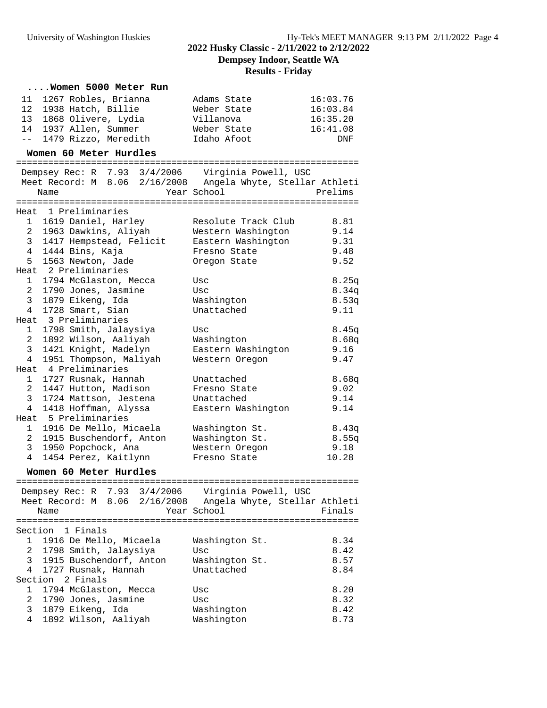**Dempsey Indoor, Seattle WA**

# **Results - Friday**

#### **....Women 5000 Meter Run**

| 11 1267 Robles, Brianna | Adams State | 16:03.76   |
|-------------------------|-------------|------------|
| 12 1938 Hatch, Billie   | Weber State | 16:03.84   |
| 13 1868 Olivere, Lydia  | Villanova   | 16:35.20   |
| 14 1937 Allen, Summer   | Weber State | 16:41.08   |
| -- 1479 Rizzo, Meredith | Idaho Afoot | <b>DNF</b> |

### **Women 60 Meter Hurdles**

|                 |                |                           | Dempsey Rec: R 7.93 3/4/2006 Virginia Powell, USC           |         |
|-----------------|----------------|---------------------------|-------------------------------------------------------------|---------|
|                 |                |                           | Meet Record: M 8.06 2/16/2008 Angela Whyte, Stellar Athleti |         |
|                 | Name           |                           | Year School                                                 | Prelims |
|                 | ============== |                           |                                                             |         |
|                 |                | Heat 1 Preliminaries      |                                                             |         |
|                 |                | 1 1619 Daniel, Harley     | Resolute Track Club                                         | 8.81    |
|                 |                | 2 1963 Dawkins, Aliyah    | Western Washington                                          | 9.14    |
| 3 <sup>7</sup>  |                | 1417 Hempstead, Felicit   | Eastern Washington 9.31                                     |         |
| $4\overline{ }$ |                | 1444 Bins, Kaja           | Fresno State                                                | 9.48    |
|                 |                | 5 1563 Newton, Jade       | Oregon State                                                | 9.52    |
|                 |                | Heat 2 Preliminaries      |                                                             |         |
|                 |                | 1 1794 McGlaston, Mecca   | Usc                                                         | 8.25q   |
| $\mathbf{2}$    |                | 1790 Jones, Jasmine       | Usc                                                         | 8.34q   |
| 3 <sup>7</sup>  |                | 1879 Eikeng, Ida          | Washington                                                  | 8.53q   |
|                 |                | 4 1728 Smart, Sian        | Unattached                                                  | 9.11    |
|                 |                | Heat 3 Preliminaries      |                                                             |         |
| 1               |                | 1798 Smith, Jalaysiya     | Usc                                                         | 8.45q   |
| $\overline{2}$  |                | 1892 Wilson, Aaliyah      | Washington                                                  | 8.68q   |
| 3 <sup>7</sup>  |                | 1421 Knight, Madelyn      | Eastern Washington                                          | 9.16    |
| $4\overline{ }$ |                | 1951 Thompson, Maliyah    | Western Oregon                                              | 9.47    |
|                 |                | Heat 4 Preliminaries      |                                                             |         |
|                 |                | 1 1727 Rusnak, Hannah     | Unattached                                                  | 8.68q   |
| $\overline{2}$  |                | 1447 Hutton, Madison      | Fresno State                                                | 9.02    |
| $\overline{3}$  |                | 1724 Mattson, Jestena     | Unattached                                                  | 9.14    |
| $4\overline{ }$ |                | 1418 Hoffman, Alyssa      | Eastern Washington                                          | 9.14    |
|                 |                | Heat 5 Preliminaries      |                                                             |         |
|                 |                | 1 1916 De Mello, Micaela  | Washington St.                                              | 8.43q   |
|                 |                | 2 1915 Buschendorf, Anton | Washington St.                                              | 8.55q   |
|                 |                | 3 1950 Popchock, Ana      | Western Oregon                                              | 9.18    |
| $4\overline{ }$ |                | 1454 Perez, Kaitlynn      | Fresno State                                                | 10.28   |

### **Women 60 Meter Hurdles**

| Dempsey Rec: R 7.93 3/4/2006 Virginia Powell, USC<br>Meet Record: M 8.06 2/16/2008<br>Name | Year School    | Angela Whyte, Stellar Athleti | Finals |
|--------------------------------------------------------------------------------------------|----------------|-------------------------------|--------|
| Section 1 Finals                                                                           |                |                               |        |
|                                                                                            |                |                               |        |
| 1916 De Mello, Micaela                                                                     | Washington St. |                               | 8.34   |
| 1798 Smith, Jalaysiya<br>$\overline{2}$                                                    | Usc            |                               | 8.42   |
| 3 1915 Buschendorf, Anton                                                                  | Washington St. |                               | 8.57   |
| 4 1727 Rusnak, Hannah                                                                      | Unattached     |                               | 8.84   |
| Section 2 Finals                                                                           |                |                               |        |
| 1794 McGlaston, Mecca                                                                      | Usc            |                               | 8.20   |
| 2 1790 Jones, Jasmine                                                                      | Usc            |                               | 8.32   |
| $\mathcal{R}$<br>1879 Eikeng, Ida                                                          | Washington     |                               | 8.42   |
| 4<br>1892 Wilson, Aaliyah                                                                  | Washington     |                               | 8.73   |
|                                                                                            |                |                               |        |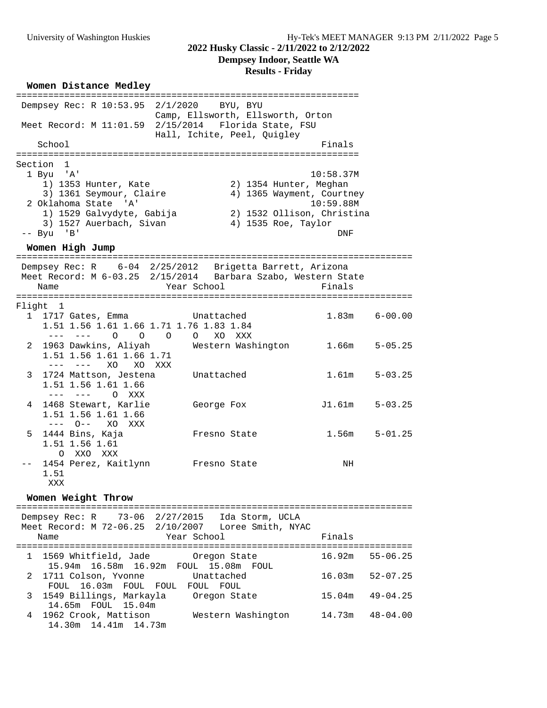#### **2022 Husky Classic - 2/11/2022 to 2/12/2022**

**Dempsey Indoor, Seattle WA**

# **Results - Friday**

#### **Women Distance Medley**

| Dempsey Rec: R 10:53.95 2/1/2020 BYU, BYU                                                                                                                                 |                                                                                                                                         |                               |              |
|---------------------------------------------------------------------------------------------------------------------------------------------------------------------------|-----------------------------------------------------------------------------------------------------------------------------------------|-------------------------------|--------------|
|                                                                                                                                                                           | Camp, Ellsworth, Ellsworth, Orton<br>Meet Record: M 11:01.59 2/15/2014 Florida State, FSU<br>Hall, Ichite, Peel, Quigley                |                               |              |
| School                                                                                                                                                                    |                                                                                                                                         | Finals                        |              |
| Section 1<br>1 Byu 'A'<br>1) 1353 Hunter, Kate<br>3) 1361 Seymour, Claire<br>2 Oklahoma State 'A'<br>1) 1529 Galvydyte, Gabija<br>3) 1527 Auerbach, Sivan<br>$-- Byu$ 'B' | 2) 1354 Hunter, Meghan<br>4) 1365 Wayment, Courtney<br>2) 1532 Ollison, Christina<br>4) 1535 Roe, Taylor                                | 10:58.37M<br>10:59.88M<br>DNF |              |
| Women High Jump                                                                                                                                                           |                                                                                                                                         |                               |              |
| Name                                                                                                                                                                      | Dempsey Rec: R 6-04 2/25/2012 Brigetta Barrett, Arizona<br>Meet Record: M 6-03.25 2/15/2014 Barbara Szabo, Western State<br>Year School | Finals                        |              |
| Flight 1                                                                                                                                                                  |                                                                                                                                         |                               |              |
| 1 1717 Gates, Emma<br>Unattached<br>1.51 1.56 1.61 1.66 1.71 1.76 1.83 1.84<br>--- --- 0 0 0 0 XO XXX                                                                     |                                                                                                                                         | $1.83m$ $6-00.00$             |              |
| 1.51 1.56 1.61 1.66 1.71<br>--- --- XO XO XXX                                                                                                                             | 2 1963 Dawkins, Aliyah Mestern Washington 1.66m                                                                                         |                               | $5 - 05.25$  |
| 3 1724 Mattson, Jestena<br>1.51 1.56 1.61 1.66<br>--- --- O XXX                                                                                                           | Unattached                                                                                                                              | 1.61m                         | $5 - 03.25$  |
| 4 1468 Stewart, Karlie<br>1.51 1.56 1.61 1.66<br>--- 0-- xo xxx                                                                                                           | George Fox                                                                                                                              | J1.61m                        | $5 - 03.25$  |
| 1444 Bins, Kaja               Fresno State<br>5<br>1.51 1.56 1.61<br>O XXO XXX                                                                                            |                                                                                                                                         | 1.56m                         | $5 - 01.25$  |
| 1454 Perez, Kaitlynn Fresno State<br>$--$<br>1.51<br>XXX                                                                                                                  |                                                                                                                                         | NH                            |              |
| Women Weight Throw                                                                                                                                                        |                                                                                                                                         |                               |              |
| ==================                                                                                                                                                        | Dempsey Rec: R 73-06 2/27/2015 Ida Storm, UCLA                                                                                          |                               |              |
| Name                                                                                                                                                                      | Meet Record: M 72-06.25 2/10/2007 Loree Smith, NYAC<br>Year School                                                                      | Finals                        |              |
| 1569 Whitfield, Jade<br>1<br>15.94m  16.58m  16.92m  FOUL  15.08m                                                                                                         | Oregon State<br>FOUL                                                                                                                    | 16.92m                        | $55 - 06.25$ |

2 1711 Colson, Yvonne Unattached 16.03m 52-07.25

3 1549 Billings, Markayla Oregon State 15.04m 49-04.25

4 1962 Crook, Mattison Western Washington 14.73m 48-04.00

FOUL 16.03m FOUL FOUL FOUL FOUL

14.65m FOUL 15.04m

14.30m 14.41m 14.73m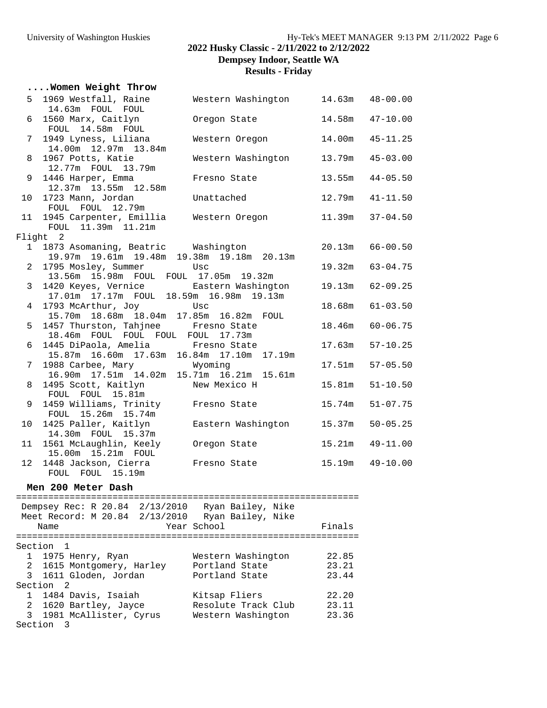#### University of Washington Huskies Hy-Tek's MEET MANAGER 9:13 PM 2/11/2022 Page 6

**2022 Husky Classic - 2/11/2022 to 2/12/2022**

**Dempsey Indoor, Seattle WA**

#### **Results - Friday**

|    | Women Weight Throw                                                                  |                                    |                     |                     |
|----|-------------------------------------------------------------------------------------|------------------------------------|---------------------|---------------------|
|    | 5 1969 Westfall, Raine                                                              | Western Washington 14.63m 48-00.00 |                     |                     |
|    | 14.63m FOUL FOUL<br>6 1560 Marx, Caitlyn<br>FOUL 14.58m FOUL                        | Oregon State                       |                     | 14.58m  47-10.00    |
| 7  | 1949 Lyness, Liliana<br>14.00m  12.97m  13.84m                                      | Western Oregon                     | 14.00m              | $45 - 11.25$        |
| 8  | 1967 Potts, Katie<br>12.77m FOUL 13.79m                                             | Western Washington                 |                     | 13.79m  45-03.00    |
| 9  | 1446 Harper, Emma<br>12.37m 13.55m 12.58m                                           | Fresno State                       | 13.55m              | $44 - 05.50$        |
|    | 10 1723 Mann, Jordan<br>FOUL FOUL 12.79m                                            | Unattached                         |                     | 12.79m  41-11.50    |
|    | 11 1945 Carpenter, Emillia Western Oregon<br>FOUL 11.39m 11.21m                     |                                    | $11.39m$ $37-04.50$ |                     |
|    | Flight 2                                                                            |                                    |                     |                     |
|    | 1 1873 Asomaning, Beatric Washington<br>19.97m 19.61m 19.48m 19.38m 19.18m 20.13m   |                                    |                     | $20.13m$ 66-00.50   |
|    | 2 1795 Mosley, Summer<br>13.56m 15.98m FOUL FOUL 17.05m 19.32m                      | Usc                                |                     | 19.32m 63-04.75     |
|    | 3 1420 Keyes, Vernice Eastern Washingtor<br>17.01m 17.17m FOUL 18.59m 16.98m 19.13m | Eastern Washington                 |                     | 19.13m 62-09.25     |
| 4  | 1793 McArthur, Joy<br>15.70m  18.68m  18.04m  17.85m  16.82m  FOUL                  | Usc                                |                     | $18.68m$ $61-03.50$ |
|    | 5 1457 Thurston, Tahjnee Fresno State<br>18.46m FOUL FOUL FOUL FOUL 17.73m          |                                    | 18.46m              | $60 - 06.75$        |
| 6  | 1445 DiPaola, Amelia Fresno State<br>15.87m 16.60m 17.63m 16.84m 17.10m 17.19m      |                                    |                     | $17.63m$ $57-10.25$ |
|    | 7 1988 Carbee, Mary<br>16.90m  17.51m  14.02m  15.71m  16.21m  15.61m               | Wyoming                            |                     | 17.51m  57-05.50    |
| 8  | 1495 Scott, Kaitlyn<br>FOUL FOUL 15.81m                                             | New Mexico H                       | 15.81m              | $51 - 10.50$        |
| 9  | 1459 Williams, Trinity Fresno State<br>FOUL 15.26m 15.74m                           |                                    | 15.74m              | $51 - 07.75$        |
| 10 | 1425 Paller, Kaitlyn<br>14.30m FOUL 15.37m                                          | Eastern Washington                 | 15.37m              | $50 - 05.25$        |
|    | 11 1561 McLaughlin, Keely<br>15.00m  15.21m  FOUL                                   | Oregon State                       |                     | 15.21m  49-11.00    |
|    | 12 1448 Jackson, Cierra<br>FOUL FOUL 15.19m                                         | Fresno State                       |                     | $15.19m$ $49-10.00$ |
|    | Men 200 Meter Dash                                                                  |                                    |                     |                     |

================================================================ Dempsey Rec: R 20.84 2/13/2010 Ryan Bailey, Nike Meet Record: M 20.84 2/13/2010 Ryan Bailey, Nike Name **Year School** Finals ================================================================ Section 1 1 1975 Henry, Ryan Western Washington 22.85 2 1615 Montgomery, Harley Portland State 23.21 3 1611 Gloden, Jordan Portland State 23.44 Section 2 1 1484 Davis, Isaiah Kitsap Fliers 22.20 2 1620 Bartley, Jayce Resolute Track Club 23.11 3 1981 McAllister, Cyrus Western Washington 23.36 Section 3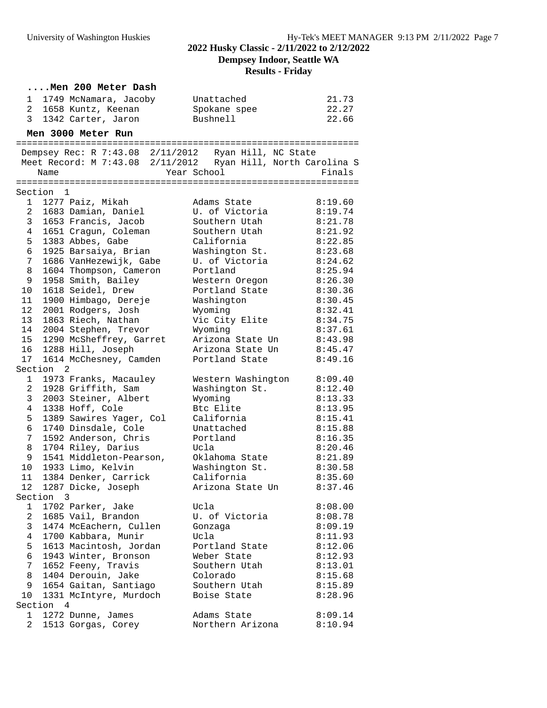# **2022 Husky Classic - 2/11/2022 to 2/12/2022**

**Dempsey Indoor, Seattle WA**

#### **Results - Friday**

|                |           | Men 200 Meter Dash                       |                                                                             |                    |
|----------------|-----------|------------------------------------------|-----------------------------------------------------------------------------|--------------------|
| 1              |           | 1749 McNamara, Jacoby                    | Unattached                                                                  | 21.73              |
| $\overline{2}$ |           | 1658 Kuntz, Keenan                       | Spokane spee                                                                | 22.27              |
| 3 <sup>7</sup> |           | 1342 Carter, Jaron                       | Bushnell                                                                    | 22.66              |
|                |           | Men 3000 Meter Run                       |                                                                             |                    |
|                |           |                                          |                                                                             |                    |
|                |           |                                          | Dempsey Rec: R 7:43.08 2/11/2012 Ryan Hill, NC State                        |                    |
|                | Name      |                                          | Meet Record: M 7:43.08 2/11/2012 Ryan Hill, North Carolina S<br>Year School | Finals             |
|                |           |                                          |                                                                             |                    |
|                | Section 1 |                                          |                                                                             |                    |
| $\mathbf{1}$   |           | 1277 Paiz, Mikah                         | Adams State                                                                 | 8:19.60            |
| $\overline{2}$ |           | 1683 Damian, Daniel                      | U. of Victoria                                                              | 8:19.74            |
| 3              |           | 1653 Francis, Jacob                      | Southern Utah                                                               | 8:21.78            |
| 4              |           | 1651 Cragun, Coleman                     | Southern Utah                                                               | 8:21.92            |
| 5              |           | 1383 Abbes, Gabe                         | California                                                                  | 8:22.85            |
| 6              |           | 1925 Barsaiya, Brian                     | Washington St.                                                              | 8:23.68            |
| 7              |           | 1686 VanHezewijk, Gabe                   | U. of Victoria                                                              | 8:24.62            |
| 8              |           | 1604 Thompson, Cameron                   | Portland                                                                    | 8:25.94            |
| 9              |           | 1958 Smith, Bailey                       | Western Oregon                                                              | 8:26.30            |
| 10             |           | 1618 Seidel, Drew                        | Portland State                                                              | 8:30.36            |
| 11             |           | 1900 Himbago, Dereje                     | Washington                                                                  | 8:30.45            |
| 12             |           | 2001 Rodgers, Josh                       | Wyoming                                                                     | 8:32.41            |
| 13             |           | 1863 Riech, Nathan                       | Vic City Elite                                                              | 8:34.75            |
| 14             |           | 2004 Stephen, Trevor                     | Wyoming                                                                     | 8:37.61            |
| 15             |           | 1290 McSheffrey, Garret                  | Arizona State Un                                                            | 8:43.98            |
| 16             |           | 1288 Hill, Joseph                        | Arizona State Un                                                            | 8:45.47            |
| 17             |           | 1614 McChesney, Camden                   | Portland State                                                              | 8:49.16            |
|                | Section 2 |                                          |                                                                             |                    |
| 1              |           | 1973 Franks, Macauley                    | Western Washington                                                          | 8:09.40            |
| $\overline{2}$ |           | 1928 Griffith, Sam                       | Washington St.                                                              | 8:12.40            |
| 3              |           | 2003 Steiner, Albert                     | Wyoming                                                                     | 8:13.33            |
| 4              |           | 1338 Hoff, Cole                          | Btc Elite                                                                   | 8:13.95            |
| 5              |           | 1389 Sawires Yager, Col                  | California                                                                  | 8:15.41            |
| 6              |           | 1740 Dinsdale, Cole                      | Unattached                                                                  | 8:15.88            |
| 7              |           | 1592 Anderson, Chris                     | Portland                                                                    | 8:16.35            |
| 8              |           | 1704 Riley, Darius                       | Ucla                                                                        | 8:20.46            |
| 9              |           | 1541 Middleton-Pearson,                  | Oklahoma State                                                              | 8:21.89            |
| 10             |           | 1933 Limo, Kelvin                        | Washington St.                                                              | 8:30.58            |
| 11             |           | 1384 Denker, Carrick                     | California                                                                  | 8:35.60            |
| 12             |           | 1287 Dicke, Joseph                       | Arizona State Un                                                            | 8:37.46            |
|                | Section 3 |                                          |                                                                             |                    |
| 1              |           | 1702 Parker, Jake                        | Ucla<br>U. of Victoria                                                      | 8:08.00            |
| 2              |           | 1685 Vail, Brandon                       |                                                                             | 8:08.78            |
| 3              |           | 1474 McEachern, Cullen                   | Gonzaga                                                                     | 8:09.19            |
| 4              |           | 1700 Kabbara, Munir                      | Ucla                                                                        | 8:11.93            |
| 5              |           | 1613 Macintosh, Jordan                   | Portland State                                                              | 8:12.06            |
| 6              |           | 1943 Winter, Bronson                     | Weber State                                                                 | 8:12.93            |
| 7              |           | 1652 Feeny, Travis<br>1404 Derouin, Jake | Southern Utah<br>Colorado                                                   | 8:13.01            |
| 8<br>9         |           | 1654 Gaitan, Santiago                    | Southern Utah                                                               | 8:15.68<br>8:15.89 |
| 10             |           | 1331 McIntyre, Murdoch                   | Boise State                                                                 | 8:28.96            |
|                | Section 4 |                                          |                                                                             |                    |
| 1              |           | 1272 Dunne, James                        | Adams State                                                                 | 8:09.14            |
| 2              |           | 1513 Gorgas, Corey                       | Northern Arizona                                                            | 8:10.94            |
|                |           |                                          |                                                                             |                    |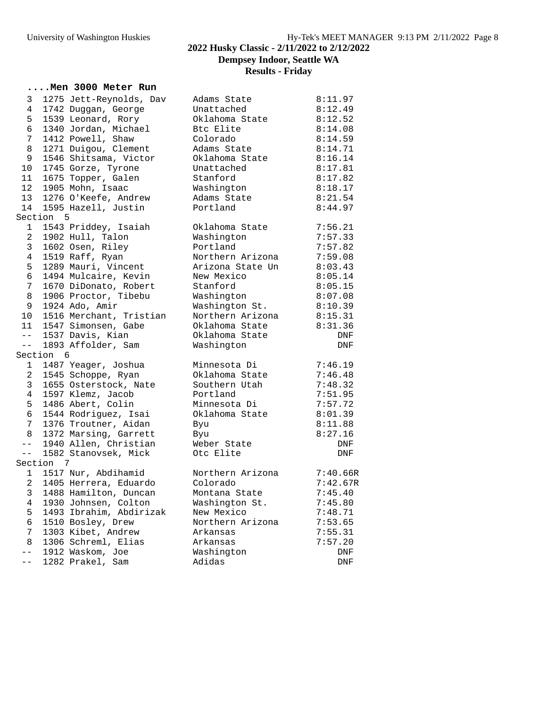# University of Washington Huskies Hy-Tek's MEET MANAGER 9:13 PM 2/11/2022 Page 8 **2022 Husky Classic - 2/11/2022 to 2/12/2022 Dempsey Indoor, Seattle WA Results - Friday**

### **....Men 3000 Meter Run**

| 3                               |           | 1275 Jett-Reynolds, Dav | Adams State      | 8:11.97  |
|---------------------------------|-----------|-------------------------|------------------|----------|
| $\overline{4}$                  |           | 1742 Duggan, George     | Unattached       | 8:12.49  |
| 5                               |           | 1539 Leonard, Rory      | Oklahoma State   | 8:12.52  |
| 6                               |           | 1340 Jordan, Michael    | Btc Elite        | 8:14.08  |
| $7\overline{ }$                 |           | 1412 Powell, Shaw       | Colorado         | 8:14.59  |
| 8                               |           | 1271 Duigou, Clement    | Adams State      | 8:14.71  |
| 9                               |           | 1546 Shitsama, Victor   | Oklahoma State   | 8:16.14  |
| 10 <sub>o</sub>                 |           | 1745 Gorze, Tyrone      | Unattached       | 8:17.81  |
| 11                              |           | 1675 Topper, Galen      | Stanford         | 8:17.82  |
| 12 <sub>2</sub>                 |           | 1905 Mohn, Isaac        | Washington       | 8:18.17  |
| 13                              |           | 1276 O'Keefe, Andrew    | Adams State      | 8:21.54  |
| 14                              |           | 1595 Hazell, Justin     | Portland         | 8:44.97  |
|                                 | Section 5 |                         |                  |          |
| 1                               |           | 1543 Priddey, Isaiah    | Oklahoma State   | 7:56.21  |
| $\overline{a}$                  |           | 1902 Hull, Talon        | Washington       | 7:57.33  |
| $\mathbf{3}$                    |           | 1602 Osen, Riley        | Portland         | 7:57.82  |
| $\overline{4}$                  |           | 1519 Raff, Ryan         | Northern Arizona | 7:59.08  |
| 5                               |           | 1289 Mauri, Vincent     | Arizona State Un | 8:03.43  |
| 6                               |           | 1494 Mulcaire, Kevin    | New Mexico       | 8:05.14  |
| $7\phantom{.}$                  |           | 1670 DiDonato, Robert   | Stanford         | 8:05.15  |
| 8                               |           | 1906 Proctor, Tibebu    | Washington       | 8:07.08  |
| 9                               |           | 1924 Ado, Amir          | Washington St.   | 8:10.39  |
| 10                              |           | 1516 Merchant, Tristian | Northern Arizona | 8:15.31  |
|                                 |           | 11 1547 Simonsen, Gabe  | Oklahoma State   | 8:31.36  |
|                                 |           | -- 1537 Davis, Kian     | Oklahoma State   | DNF      |
| $\frac{1}{2}$ and $\frac{1}{2}$ |           | 1893 Affolder, Sam      | Washington       | DNF      |
|                                 | Section 6 |                         |                  |          |
| $\mathbf{1}$                    |           | 1487 Yeager, Joshua     | Minnesota Di     | 7:46.19  |
| $\mathbf{2}$                    |           | 1545 Schoppe, Ryan      | Oklahoma State   | 7:46.48  |
| $\mathbf{3}$                    |           | 1655 Osterstock, Nate   | Southern Utah    | 7:48.32  |
| $\overline{4}$                  |           | 1597 Klemz, Jacob       | Portland         | 7:51.95  |
| 5                               |           | 1486 Abert, Colin       | Minnesota Di     | 7:57.72  |
| 6                               |           | 1544 Rodriguez, Isai    | Oklahoma State   | 8:01.39  |
| 7 <sup>7</sup>                  |           | 1376 Troutner, Aidan    | Byu              | 8:11.88  |
| 8                               |           | 1372 Marsing, Garrett   | Byu              | 8:27.16  |
| $  \,$                          |           | 1940 Allen, Christian   | Weber State      | DNF      |
| $  \,$                          |           | 1582 Stanovsek, Mick    | Otc Elite        | DNF      |
|                                 | Section 7 |                         |                  |          |
|                                 |           | 1 1517 Nur, Abdihamid   | Northern Arizona | 7:40.66R |
| $2^{\circ}$                     |           | 1405 Herrera, Eduardo   | Colorado         | 7:42.67R |
| 3 <sup>7</sup>                  |           | 1488 Hamilton, Duncan   | Montana State    | 7:45.40  |
| 4                               |           | 1930 Johnsen, Colton    | Washington St.   | 7:45.80  |
| 5                               |           | 1493 Ibrahim, Abdirizak | New Mexico       | 7:48.71  |
| 6                               |           | 1510 Bosley, Drew       | Northern Arizona | 7:53.65  |
| 7                               |           | 1303 Kibet, Andrew      | Arkansas         | 7:55.31  |
| 8                               |           | 1306 Schreml, Elias     | Arkansas         | 7:57.20  |
| $- -$                           |           | 1912 Waskom, Joe        | Washington       | DNF      |
| $- -$                           |           | 1282 Prakel, Sam        | Adidas           | DNF      |
|                                 |           |                         |                  |          |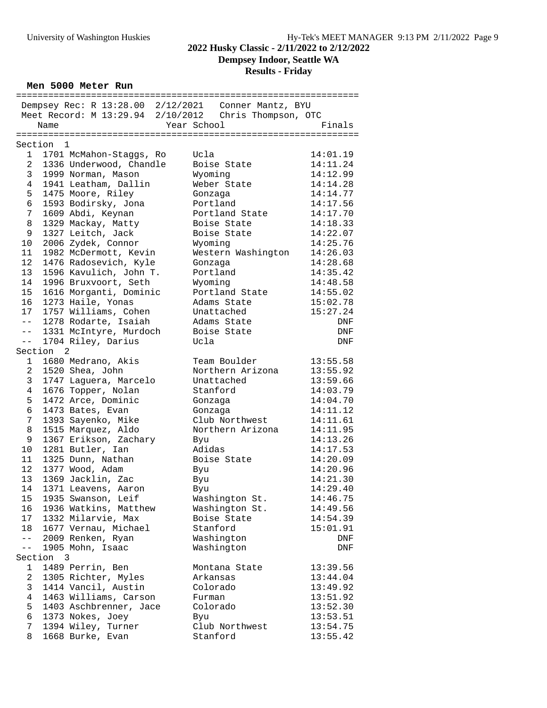### **2022 Husky Classic - 2/11/2022 to 2/12/2022 Dempsey Indoor, Seattle WA**

**Results - Friday**

**Men 5000 Meter Run**

|                 |                         |                         | Dempsey Rec: R 13:28.00 2/12/2021 Conner Mantz, BYU   |          |
|-----------------|-------------------------|-------------------------|-------------------------------------------------------|----------|
|                 |                         |                         | Meet Record: M 13:29.94 2/10/2012 Chris Thompson, OTC |          |
|                 | Name                    |                         | Year School                                           | Finals   |
|                 |                         |                         |                                                       |          |
| Section         | $\overline{1}$          |                         |                                                       |          |
| 1               |                         | 1701 McMahon-Staggs, Ro | Ucla                                                  | 14:01.19 |
| $\overline{a}$  |                         | 1336 Underwood, Chandle | Boise State                                           | 14:11.24 |
| 3               |                         | 1999 Norman, Mason      | Wyoming                                               | 14:12.99 |
| 4               |                         | 1941 Leatham, Dallin    | Weber State                                           | 14:14.28 |
| 5               |                         | 1475 Moore, Riley       | Gonzaga                                               | 14:14.77 |
| 6               |                         | 1593 Bodirsky, Jona     | Portland                                              | 14:17.56 |
| 7 <sup>7</sup>  |                         | 1609 Abdi, Keynan       | Portland State                                        | 14:17.70 |
| 8               |                         | 1329 Mackay, Matty      | Boise State                                           | 14:18.33 |
| 9               |                         | 1327 Leitch, Jack       | Boise State                                           | 14:22.07 |
| 10              |                         | 2006 Zydek, Connor      | Wyoming                                               | 14:25.76 |
| 11              |                         | 1982 McDermott, Kevin   | Western Washington                                    | 14:26.03 |
| 12 <sup>°</sup> |                         | 1476 Radosevich, Kyle   | Gonzaga                                               | 14:28.68 |
| 13              |                         | 1596 Kavulich, John T.  | Portland                                              | 14:35.42 |
| 14              |                         | 1996 Bruxvoort, Seth    | Wyoming                                               | 14:48.58 |
| 15              |                         | 1616 Morganti, Dominic  | Portland State                                        | 14:55.02 |
| 16              |                         | 1273 Haile, Yonas       | Adams State                                           | 15:02.78 |
| 17 <sup>7</sup> |                         | 1757 Williams, Cohen    | Unattached                                            | 15:27.24 |
| $- -$           |                         | 1278 Rodarte, Isaiah    | Adams State                                           | DNF      |
| $--$            |                         | 1331 McIntyre, Murdoch  | Boise State                                           | DNF      |
| $- -$           |                         | 1704 Riley, Darius      | Ucla                                                  | DNF      |
| Section         | $\overline{2}$          |                         |                                                       |          |
| $\mathbf{1}$    |                         | 1680 Medrano, Akis      | Team Boulder                                          | 13:55.58 |
| $\overline{a}$  |                         | 1520 Shea, John         | Northern Arizona                                      | 13:55.92 |
| 3               |                         | 1747 Laguera, Marcelo   | Unattached                                            | 13:59.66 |
| 4               |                         | 1676 Topper, Nolan      | Stanford                                              | 14:03.79 |
| 5               |                         | 1472 Arce, Dominic      | Gonzaga                                               | 14:04.70 |
| 6               |                         | 1473 Bates, Evan        | Gonzaga                                               | 14:11.12 |
| 7               |                         | 1393 Sayenko, Mike      | Club Northwest                                        | 14:11.61 |
| 8               |                         | 1515 Marquez, Aldo      | Northern Arizona                                      | 14:11.95 |
| 9               |                         | 1367 Erikson, Zachary   | Byu                                                   | 14:13.26 |
| 10              |                         | 1281 Butler, Ian        | Adidas                                                | 14:17.53 |
| 11              |                         | 1325 Dunn, Nathan       | Boise State                                           | 14:20.09 |
| 12              |                         | 1377 Wood, Adam         | Byu                                                   | 14:20.96 |
| 13              |                         | 1369 Jacklin, Zac       | Byu                                                   | 14:21.30 |
|                 |                         | 14 1371 Leavens, Aaron  | Byu                                                   | 14:29.40 |
| 15              |                         | 1935 Swanson, Leif      | Washington St.                                        | 14:46.75 |
| 16              |                         | 1936 Watkins, Matthew   | Washington St.                                        | 14:49.56 |
| 17 <sup>7</sup> |                         | 1332 Milarvie, Max      | Boise State                                           | 14:54.39 |
| 18              |                         | 1677 Vernau, Michael    | Stanford                                              | 15:01.91 |
| $- -$           |                         | 2009 Renken, Ryan       | Washington                                            | DNF      |
| $- -$           |                         | 1905 Mohn, Isaac        | Washington                                            | DNF      |
| Section         | $\overline{\mathbf{3}}$ |                         |                                                       |          |
| 1               |                         | 1489 Perrin, Ben        | Montana State                                         | 13:39.56 |
| 2               |                         | 1305 Richter, Myles     | Arkansas                                              | 13:44.04 |
| 3               |                         | 1414 Vancil, Austin     | Colorado                                              | 13:49.92 |
| 4               |                         | 1463 Williams, Carson   | Furman                                                | 13:51.92 |
| 5               |                         | 1403 Aschbrenner, Jace  | Colorado                                              | 13:52.30 |
| 6               |                         | 1373 Nokes, Joey        | Byu                                                   | 13:53.51 |
| 7               |                         | 1394 Wiley, Turner      | Club Northwest                                        | 13:54.75 |
| 8               |                         | 1668 Burke, Evan        | Stanford                                              | 13:55.42 |
|                 |                         |                         |                                                       |          |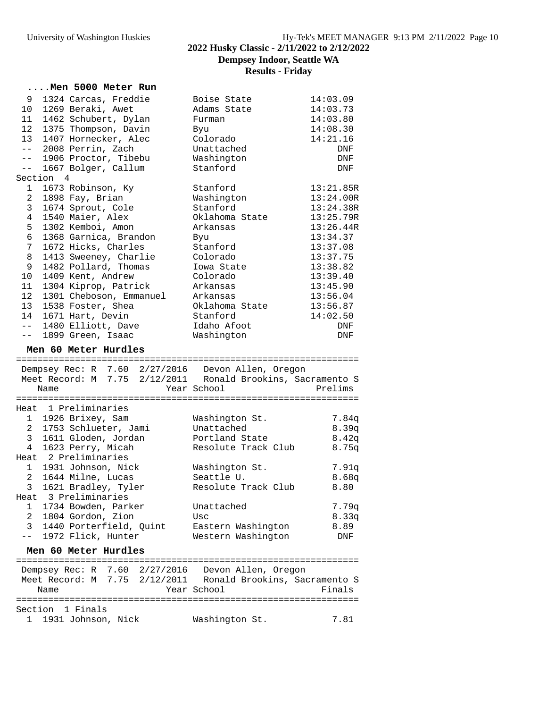# University of Washington Huskies Hy-Tek's MEET MANAGER 9:13 PM 2/11/2022 Page 10 **2022 Husky Classic - 2/11/2022 to 2/12/2022 Dempsey Indoor, Seattle WA Results - Friday**

|                     |           | Men 5000 Meter Run                    |                   |                                                                                                                      |                        |
|---------------------|-----------|---------------------------------------|-------------------|----------------------------------------------------------------------------------------------------------------------|------------------------|
| 9                   |           | 1324 Carcas, Freddie                  |                   | Boise State                                                                                                          | 14:03.09               |
| 10                  |           | 1269 Beraki, Awet                     |                   | Adams State                                                                                                          | 14:03.73               |
| 11                  |           | 1462 Schubert, Dylan                  |                   | Furman                                                                                                               | 14:03.80               |
| 12                  |           | 1375 Thompson, Davin                  |                   | Byu                                                                                                                  | 14:08.30               |
| 13                  |           | 1407 Hornecker, Alec                  |                   | Colorado                                                                                                             | 14:21.16               |
| $ -$                |           | 2008 Perrin, Zach                     |                   | Unattached                                                                                                           | DNF                    |
| $--$                |           | 1906 Proctor, Tibebu                  |                   | Washington                                                                                                           | DNF                    |
| $- -$               |           | 1667 Bolger, Callum                   |                   | Stanford                                                                                                             | DNF                    |
|                     | Section 4 |                                       |                   |                                                                                                                      |                        |
| $\mathbf{1}$        |           | 1673 Robinson, Ky                     |                   | Stanford                                                                                                             | 13:21.85R              |
| $\overline{2}$      |           | 1898 Fay, Brian                       |                   | Washington                                                                                                           | 13:24.00R              |
| 3 <sup>7</sup><br>4 |           | 1674 Sprout, Cole                     |                   | Stanford                                                                                                             | 13:24.38R<br>13:25.79R |
| 5                   |           | 1540 Maier, Alex<br>1302 Kemboi, Amon |                   | Oklahoma State<br>Arkansas                                                                                           | 13:26.44R              |
| 6                   |           | 1368 Garnica, Brandon                 |                   |                                                                                                                      | 13:34.37               |
| 7                   |           | 1672 Hicks, Charles                   |                   | Byu<br>Stanford                                                                                                      | 13:37.08               |
| 8                   |           | 1413 Sweeney, Charlie                 |                   | Colorado                                                                                                             | 13:37.75               |
| 9                   |           | 1482 Pollard, Thomas                  |                   | Iowa State                                                                                                           | 13:38.82               |
| $10 \,$             |           | 1409 Kent, Andrew                     |                   | Colorado                                                                                                             | 13:39.40               |
| 11                  |           | 1304 Kiprop, Patrick                  |                   | Arkansas                                                                                                             | 13:45.90               |
| 12                  |           | 1301 Cheboson, Emmanuel               |                   | Arkansas                                                                                                             | 13:56.04               |
| 13                  |           | 1538 Foster, Shea                     |                   | Oklahoma State                                                                                                       | 13:56.87               |
| 14                  |           | 1671 Hart, Devin                      |                   | Stanford                                                                                                             | 14:02.50               |
| $- -$               |           | 1480 Elliott, Dave                    |                   | Idaho Afoot                                                                                                          | DNF                    |
| $- -$               |           | 1899 Green, Isaac                     |                   | Washington                                                                                                           | DNF                    |
|                     |           | Men 60 Meter Hurdles                  |                   |                                                                                                                      |                        |
|                     |           |                                       |                   |                                                                                                                      |                        |
|                     |           |                                       |                   | Dempsey Rec: R 7.60 2/27/2016 Devon Allen, Oregon                                                                    |                        |
|                     |           |                                       |                   | Meet Record: M 7.75 2/12/2011 Ronald Brookins, Sacramento S<br>Year School                                           | Prelims                |
|                     | Name      |                                       |                   |                                                                                                                      |                        |
|                     |           | Heat 1 Preliminaries                  |                   |                                                                                                                      |                        |
|                     |           | 1 1926 Brixey, Sam                    |                   | Washington St.                                                                                                       | 7.84q                  |
| $\overline{2}$      |           | 1753 Schlueter, Jami                  |                   | Unattached                                                                                                           | 8.39q                  |
|                     |           | 3 1611 Gloden, Jordan                 |                   | Portland State                                                                                                       | 8.42q                  |
| $4\overline{ }$     |           | 1623 Perry, Micah                     |                   | Resolute Track Club                                                                                                  | 8.75g                  |
|                     |           | Heat 2 Preliminaries                  |                   |                                                                                                                      |                        |
| 1                   |           | 1931 Johnson, Nick                    |                   | Washington St.                                                                                                       | 7.91q                  |
| $\overline{a}$      |           | 1644 Milne, Lucas                     |                   | Seattle U.                                                                                                           | 8.68q                  |
| 3                   |           | 1621 Bradley, Tyler                   |                   | Resolute Track Club                                                                                                  | 8.80                   |
|                     |           | Heat 3 Preliminaries                  |                   |                                                                                                                      |                        |
| 1.                  |           | 1734 Bowden, Parker                   |                   | Unattached                                                                                                           | 7.79q                  |
| 2                   |           | 1804 Gordon, Zion                     |                   | Usc                                                                                                                  | 8.33q                  |
| 3                   |           | 1440 Porterfield, Quint               |                   | Eastern Washington                                                                                                   | 8.89                   |
| $- -$               |           | 1972 Flick, Hunter                    |                   | Western Washington                                                                                                   | DNF                    |
|                     |           | Men 60 Meter Hurdles                  |                   |                                                                                                                      |                        |
|                     |           | ==================                    | ================= | =============================                                                                                        |                        |
|                     |           |                                       |                   | Dempsey $Rec: R$ 7.60 $2/27/2016$ Devon Allen, Oregon<br>Meet Record: M 7.75 2/12/2011 Ronald Brookins, Sacramento S |                        |
|                     | Name      |                                       |                   | Year School                                                                                                          | Finals                 |
|                     |           |                                       |                   |                                                                                                                      |                        |
|                     |           | Section 1 Finals                      |                   |                                                                                                                      |                        |
| 1                   |           | 1931 Johnson, Nick                    |                   | Washington St.                                                                                                       | 7.81                   |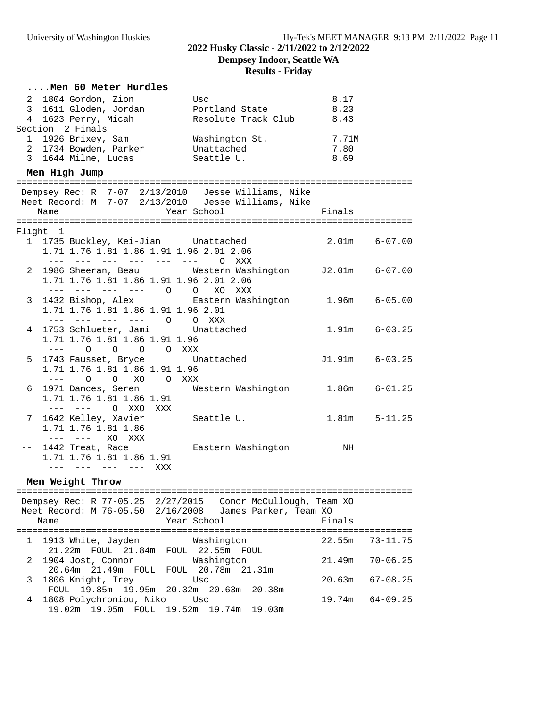# **Results - Friday**

#### **....Men 60 Meter Hurdles**

| 2 1804 Gordon, Zion   | Usc                 | 8.17  |
|-----------------------|---------------------|-------|
| 3 1611 Gloden, Jordan | Portland State      | 8.23  |
| 4 1623 Perry, Micah   | Resolute Track Club | 8.43  |
| Section 2 Finals      |                     |       |
| 1 1926 Brixey, Sam    | Washington St.      | 7.71M |
| 2 1734 Bowden, Parker | Unattached          | 7.80  |
| 3 1644 Milne, Lucas   | Seattle U.          | 8.69  |

### **Men High Jump**

|  | Dempsey Rec: R 7-07 2/13/2010 Jesse Williams, Nike     |                   |  |  |  |  |
|--|--------------------------------------------------------|-------------------|--|--|--|--|
|  | Meet Record: M 7-07 2/13/2010 Jesse Williams, Nike     |                   |  |  |  |  |
|  | Name                                                   |                   |  |  |  |  |
|  |                                                        |                   |  |  |  |  |
|  | Flight 1                                               |                   |  |  |  |  |
|  | 1 1735 Buckley, Kei-Jian Unattached                    | $2.01m$ $6-07.00$ |  |  |  |  |
|  | 1.71 1.76 1.81 1.86 1.91 1.96 2.01 2.06                |                   |  |  |  |  |
|  | --- --- --- --- --- --- 0 XXX                          |                   |  |  |  |  |
|  | 2 1986 Sheeran, Beau Western Washington J2.01m 6-07.00 |                   |  |  |  |  |
|  | 1.71 1.76 1.81 1.86 1.91 1.96 2.01 2.06                |                   |  |  |  |  |
|  | --- --- --- --- 0 0 XO XXX                             |                   |  |  |  |  |
|  | 3 1432 Bishop, Alex Eastern Washington 1.96m 6-05.00   |                   |  |  |  |  |
|  | 1.71 1.76 1.81 1.86 1.91 1.96 2.01                     |                   |  |  |  |  |
|  | --- --- --- --- 0 0 XXX                                |                   |  |  |  |  |
|  | 4 1753 Schlueter, Jami Unattached                      | 1.91m     6-03.25 |  |  |  |  |
|  | 1.71 1.76 1.81 1.86 1.91 1.96                          |                   |  |  |  |  |
|  | $---$ 0 0 0 0 XXX                                      |                   |  |  |  |  |
|  | 5 1743 Fausset, Bryce bunattached                      | J1.91m 6-03.25    |  |  |  |  |
|  | 1.71 1.76 1.81 1.86 1.91 1.96                          |                   |  |  |  |  |
|  | --- 0 0 XO 0 XXX                                       |                   |  |  |  |  |
|  | 6 1971 Dances, Seren Western Washington 1.86m 6-01.25  |                   |  |  |  |  |
|  | 1.71 1.76 1.81 1.86 1.91                               |                   |  |  |  |  |
|  | --- --- O XXO XXX                                      |                   |  |  |  |  |
|  | 7 1642 Kelley, Xavier           Seattle U.             | $1.81m$ $5-11.25$ |  |  |  |  |
|  | 1.71 1.76 1.81 1.86                                    |                   |  |  |  |  |
|  | --- --- XO XXX                                         |                   |  |  |  |  |
|  | -- 1442 Treat, Race Bastern Washington NH              |                   |  |  |  |  |
|  | 1.71 1.76 1.81 1.86 1.91                               |                   |  |  |  |  |
|  | --- --- --- --- XXX                                    |                   |  |  |  |  |
|  |                                                        |                   |  |  |  |  |

### **Men Weight Throw**

| Name                                                                   | Dempsey Rec: R 77-05.25 2/27/2015 Conor McCullough, Team XO<br>Meet Record: M 76-05.50 2/16/2008 James Parker, Team XO<br>Year School | Finals |                     |
|------------------------------------------------------------------------|---------------------------------------------------------------------------------------------------------------------------------------|--------|---------------------|
| 1 1913 White, Jayden Mashington<br>21.22m FOUL 21.84m FOUL 22.55m FOUL |                                                                                                                                       |        | $22.55m$ $73-11.75$ |
| 2 1904 Jost, Connor Washington                                         | 20.64m 21.49m FOUL FOUL 20.78m 21.31m                                                                                                 |        | $21.49m$ $70-06.25$ |
| 3 1806 Knight, Trey                                                    | Usc<br>FOUL 19.85m 19.95m 20.32m 20.63m 20.38m                                                                                        |        | $20.63m$ $67-08.25$ |
| 4 1808 Polychroniou, Niko Usc                                          | 19.02m 19.05m FOUL 19.52m 19.74m 19.03m                                                                                               |        | $19.74m$ $64-09.25$ |
|                                                                        |                                                                                                                                       |        |                     |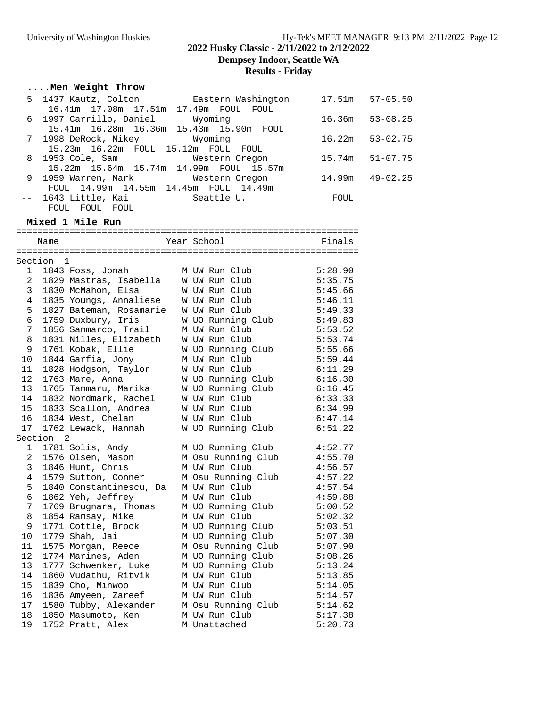# University of Washington Huskies Hy-Tek's MEET MANAGER 9:13 PM 2/11/2022 Page 12 **2022 Husky Classic - 2/11/2022 to 2/12/2022**

**Dempsey Indoor, Seattle WA**

**Results - Friday**

### **....Men Weight Throw**

| 5 1437 Kautz, Colton bastern Washington      | 17.51m | $57 - 05.50$ |
|----------------------------------------------|--------|--------------|
| 16.41m  17.08m  17.51m  17.49m  FOUL  FOUL   |        |              |
| 6 1997 Carrillo, Daniel Wyoming              | 16.36m | $53 - 08.25$ |
| 15.41m 16.28m 16.36m 15.43m 15.90m FOUL      |        |              |
| 7 1998 DeRock, Mikey           Wyoming       | 16.22m | $53 - 02.75$ |
| 15.23m 16.22m FOUL 15.12m FOUL FOUL          |        |              |
| 8 1953 Cole, Sam Mestern Oregon              | 15.74m | $51 - 07.75$ |
| 15.22m 15.64m 15.74m 14.99m FOUL 15.57m      |        |              |
| 9 1959 Warren, Mark Mestern Oregon           | 14.99m | $49 - 02.25$ |
| FOUL 14.99m 14.55m 14.45m FOUL 14.49m        |        |              |
| -- 1643 Little, Kai               Seattle U. | FOUL   |              |
| FOUL FOUL FOUL                               |        |              |

### **Mixed 1 Mile Run**

|                | Name         |                         |  |  | Year School  |                    | Finals  |
|----------------|--------------|-------------------------|--|--|--------------|--------------------|---------|
|                |              |                         |  |  |              |                    |         |
| Section        | $\mathbf{1}$ |                         |  |  |              |                    |         |
| 1              |              | 1843 Foss, Jonah        |  |  |              | M UW Run Club      | 5:28.90 |
| $\overline{a}$ |              | 1829 Mastras, Isabella  |  |  |              | W UW Run Club      | 5:35.75 |
| 3              |              | 1830 McMahon, Elsa      |  |  |              | W UW Run Club      | 5:45.66 |
| $\overline{4}$ |              | 1835 Youngs, Annaliese  |  |  |              | W UW Run Club      | 5:46.11 |
| 5              |              | 1827 Bateman, Rosamarie |  |  |              | W UW Run Club      | 5:49.33 |
| 6              |              | 1759 Duxbury, Iris      |  |  |              | W UO Running Club  | 5:49.83 |
| 7              |              | 1856 Sammarco, Trail    |  |  |              | M UW Run Club      | 5:53.52 |
| $\,8\,$        |              | 1831 Nilles, Elizabeth  |  |  |              | W UW Run Club      | 5:53.74 |
| 9              |              | 1761 Kobak, Ellie       |  |  |              | W UO Running Club  | 5:55.66 |
| 10             |              | 1844 Garfia, Jony       |  |  |              | M UW Run Club      | 5:59.44 |
| 11             |              | 1828 Hodgson, Taylor    |  |  |              | W UW Run Club      | 6:11.29 |
| 12             |              | 1763 Mare, Anna         |  |  |              | W UO Running Club  | 6:16.30 |
| 13             |              | 1765 Tammaru, Marika    |  |  |              | W UO Running Club  | 6:16.45 |
| 14             |              | 1832 Nordmark, Rachel   |  |  |              | W UW Run Club      | 6:33.33 |
| 15             |              | 1833 Scallon, Andrea    |  |  |              | W UW Run Club      | 6:34.99 |
| 16             |              | 1834 West, Chelan       |  |  |              | W UW Run Club      | 6:47.14 |
| 17             |              | 1762 Lewack, Hannah     |  |  |              | W UO Running Club  | 6:51.22 |
|                | Section 2    |                         |  |  |              |                    |         |
| $\mathbf{1}$   |              | 1781 Solis, Andy        |  |  |              | M UO Running Club  | 4:52.77 |
| 2              |              | 1576 Olsen, Mason       |  |  |              | M Osu Running Club | 4:55.70 |
| 3              |              | 1846 Hunt, Chris        |  |  |              | M UW Run Club      | 4:56.57 |
| 4              |              | 1579 Sutton, Conner     |  |  |              | M Osu Running Club | 4:57.22 |
| 5              |              | 1840 Constantinescu, Da |  |  |              | M UW Run Club      | 4:57.54 |
| 6              |              | 1862 Yeh, Jeffrey       |  |  |              | M UW Run Club      | 4:59.88 |
| 7              |              | 1769 Brugnara, Thomas   |  |  |              | M UO Running Club  | 5:00.52 |
| 8              |              | 1854 Ramsay, Mike       |  |  |              | M UW Run Club      | 5:02.32 |
| 9              |              | 1771 Cottle, Brock      |  |  |              | M UO Running Club  | 5:03.51 |
| 10             |              | 1779 Shah, Jai          |  |  |              | M UO Running Club  | 5:07.30 |
| 11             |              | 1575 Morgan, Reece      |  |  |              | M Osu Running Club | 5:07.90 |
| 12             |              | 1774 Marines, Aden      |  |  |              | M UO Running Club  | 5:08.26 |
| 13             |              | 1777 Schwenker, Luke    |  |  |              | M UO Running Club  | 5:13.24 |
| 14             |              | 1860 Vudathu, Ritvik    |  |  |              | M UW Run Club      | 5:13.85 |
| 15             |              | 1839 Cho, Minwoo        |  |  |              | M UW Run Club      | 5:14.05 |
| 16             |              | 1836 Amyeen, Zareef     |  |  |              | M UW Run Club      | 5:14.57 |
| 17             |              | 1580 Tubby, Alexander   |  |  |              | M Osu Running Club | 5:14.62 |
| 18             |              | 1850 Masumoto, Ken      |  |  |              | M UW Run Club      | 5:17.38 |
| 19             |              | 1752 Pratt, Alex        |  |  | M Unattached |                    | 5:20.73 |
|                |              |                         |  |  |              |                    |         |